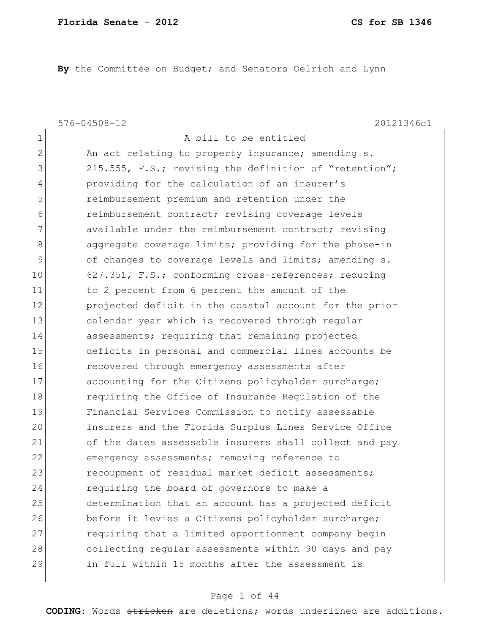**By** the Committee on Budget; and Senators Oelrich and Lynn

576-04508-12 20121346c1

| 1              | A bill to be entitled                                  |
|----------------|--------------------------------------------------------|
| $\overline{2}$ | An act relating to property insurance; amending s.     |
| 3              | 215.555, F.S.; revising the definition of "retention"; |
| 4              | providing for the calculation of an insurer's          |
| 5              | reimbursement premium and retention under the          |
| 6              | reimbursement contract; revising coverage levels       |
| 7              | available under the reimbursement contract; revising   |
| 8              | aggregate coverage limits; providing for the phase-in  |
| 9              | of changes to coverage levels and limits; amending s.  |
| 10             | 627.351, F.S.; conforming cross-references; reducing   |
| 11             | to 2 percent from 6 percent the amount of the          |
| 12             | projected deficit in the coastal account for the prior |
| 13             | calendar year which is recovered through regular       |
| 14             | assessments; requiring that remaining projected        |
| 15             | deficits in personal and commercial lines accounts be  |
| 16             | recovered through emergency assessments after          |
| 17             | accounting for the Citizens policyholder surcharge;    |
| 18             | requiring the Office of Insurance Regulation of the    |
| 19             | Financial Services Commission to notify assessable     |
| 20             | insurers and the Florida Surplus Lines Service Office  |
| 21             | of the dates assessable insurers shall collect and pay |
| 22             | emergency assessments; removing reference to           |
| 23             | recoupment of residual market deficit assessments;     |
| 24             | requiring the board of governors to make a             |
| 25             | determination that an account has a projected deficit  |
| 26             | before it levies a Citizens policyholder surcharge;    |
| 27             | requiring that a limited apportionment company begin   |
| 28             | collecting regular assessments within 90 days and pay  |
| 29             | in full within 15 months after the assessment is       |
|                |                                                        |

# Page 1 of 44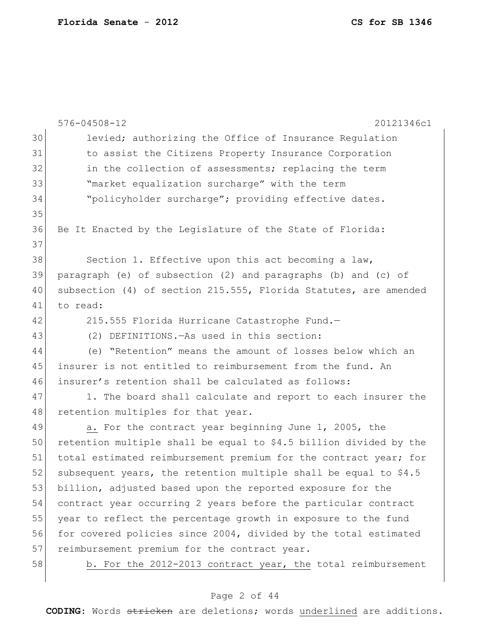|    | $576 - 04508 - 12$<br>20121346c1                                  |
|----|-------------------------------------------------------------------|
| 30 | levied; authorizing the Office of Insurance Regulation            |
| 31 | to assist the Citizens Property Insurance Corporation             |
| 32 | in the collection of assessments; replacing the term              |
| 33 | "market equalization surcharge" with the term                     |
| 34 | "policyholder surcharge"; providing effective dates.              |
| 35 |                                                                   |
| 36 | Be It Enacted by the Legislature of the State of Florida:         |
| 37 |                                                                   |
| 38 | Section 1. Effective upon this act becoming a law,                |
| 39 | paragraph (e) of subsection (2) and paragraphs (b) and (c) of     |
| 40 | subsection (4) of section 215.555, Florida Statutes, are amended  |
| 41 | to read:                                                          |
| 42 | 215.555 Florida Hurricane Catastrophe Fund.-                      |
| 43 | (2) DEFINITIONS. - As used in this section:                       |
| 44 | (e) "Retention" means the amount of losses below which an         |
| 45 | insurer is not entitled to reimbursement from the fund. An        |
| 46 | insurer's retention shall be calculated as follows:               |
| 47 | 1. The board shall calculate and report to each insurer the       |
| 48 | retention multiples for that year.                                |
| 49 | a. For the contract year beginning June 1, 2005, the              |
| 50 | retention multiple shall be equal to \$4.5 billion divided by the |
| 51 | total estimated reimbursement premium for the contract year; for  |
| 52 | subsequent years, the retention multiple shall be equal to \$4.5  |
| 53 | billion, adjusted based upon the reported exposure for the        |
| 54 | contract year occurring 2 years before the particular contract    |
| 55 | year to reflect the percentage growth in exposure to the fund     |
| 56 | for covered policies since 2004, divided by the total estimated   |
| 57 | reimbursement premium for the contract year.                      |
| 58 | b. For the 2012-2013 contract year, the total reimbursement       |
|    |                                                                   |

# Page 2 of 44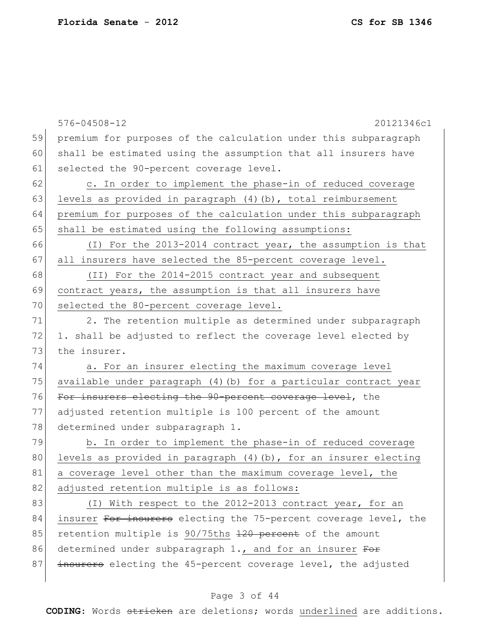|    | $576 - 04508 - 12$<br>20121346c1                                  |
|----|-------------------------------------------------------------------|
| 59 | premium for purposes of the calculation under this subparagraph   |
| 60 | shall be estimated using the assumption that all insurers have    |
| 61 | selected the 90-percent coverage level.                           |
| 62 | c. In order to implement the phase-in of reduced coverage         |
| 63 | levels as provided in paragraph $(4)$ $(b)$ , total reimbursement |
| 64 | premium for purposes of the calculation under this subparagraph   |
| 65 | shall be estimated using the following assumptions:               |
| 66 | (I) For the 2013-2014 contract year, the assumption is that       |
| 67 | all insurers have selected the 85-percent coverage level.         |
| 68 | (II) For the 2014-2015 contract year and subsequent               |
| 69 | contract years, the assumption is that all insurers have          |
| 70 | selected the 80-percent coverage level.                           |
| 71 | 2. The retention multiple as determined under subparagraph        |
| 72 | 1. shall be adjusted to reflect the coverage level elected by     |
| 73 | the insurer.                                                      |
| 74 | a. For an insurer electing the maximum coverage level             |
| 75 | available under paragraph (4) (b) for a particular contract year  |
| 76 | For insurers electing the 90-percent coverage level, the          |
| 77 | adjusted retention multiple is 100 percent of the amount          |
| 78 | determined under subparagraph 1.                                  |
| 79 | b. In order to implement the phase-in of reduced coverage         |
| 80 | levels as provided in paragraph (4) (b), for an insurer electing  |
| 81 | a coverage level other than the maximum coverage level, the       |
| 82 | adjusted retention multiple is as follows:                        |
| 83 | (I) With respect to the 2012-2013 contract year, for an           |
| 84 | insurer For insurers electing the 75-percent coverage level, the  |
| 85 | retention multiple is 90/75ths 120 percent of the amount          |
| 86 | determined under subparagraph 1., and for an insurer For          |
| 87 | insurers electing the 45-percent coverage level, the adjusted     |
|    |                                                                   |

# Page 3 of 44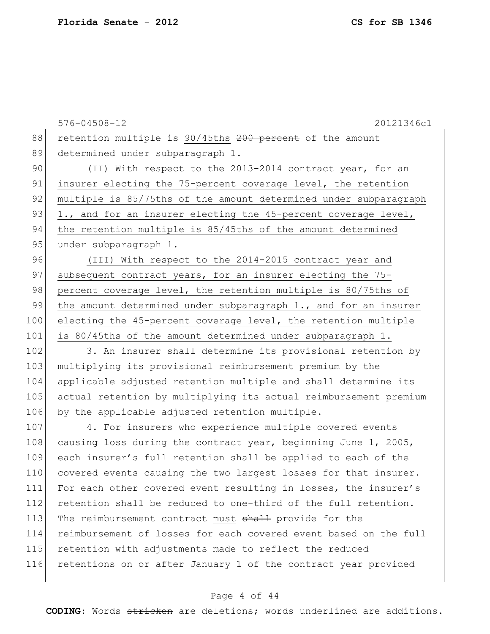|     | $576 - 04508 - 12$<br>20121346c1                                 |
|-----|------------------------------------------------------------------|
| 88  | retention multiple is 90/45ths 200 percent of the amount         |
| 89  | determined under subparagraph 1.                                 |
| 90  | (II) With respect to the 2013-2014 contract year, for an         |
| 91  | insurer electing the 75-percent coverage level, the retention    |
| 92  | multiple is 85/75ths of the amount determined under subparagraph |
| 93  | 1., and for an insurer electing the 45-percent coverage level,   |
| 94  | the retention multiple is 85/45ths of the amount determined      |
| 95  | under subparagraph 1.                                            |
| 96  | (III) With respect to the 2014-2015 contract year and            |
| 97  | subsequent contract years, for an insurer electing the 75-       |
| 98  | percent coverage level, the retention multiple is 80/75ths of    |
| 99  | the amount determined under subparagraph 1., and for an insurer  |
| 100 | electing the 45-percent coverage level, the retention multiple   |
| 101 | is 80/45ths of the amount determined under subparagraph 1.       |
| 102 | 3. An insurer shall determine its provisional retention by       |
| 103 | multiplying its provisional reimbursement premium by the         |
| 104 | applicable adjusted retention multiple and shall determine its   |
| 105 | actual retention by multiplying its actual reimbursement premium |
| 106 | by the applicable adjusted retention multiple.                   |
| 107 | 4. For insurers who experience multiple covered events           |
| 108 | causing loss during the contract year, beginning June 1, 2005,   |
| 109 | each insurer's full retention shall be applied to each of the    |
| 110 | covered events causing the two largest losses for that insurer.  |
| 111 | For each other covered event resulting in losses, the insurer's  |
| 112 | retention shall be reduced to one-third of the full retention.   |
| 113 | The reimbursement contract must shall provide for the            |
| 114 | reimbursement of losses for each covered event based on the full |
| 115 | retention with adjustments made to reflect the reduced           |
| 116 | retentions on or after January 1 of the contract year provided   |

# Page 4 of 44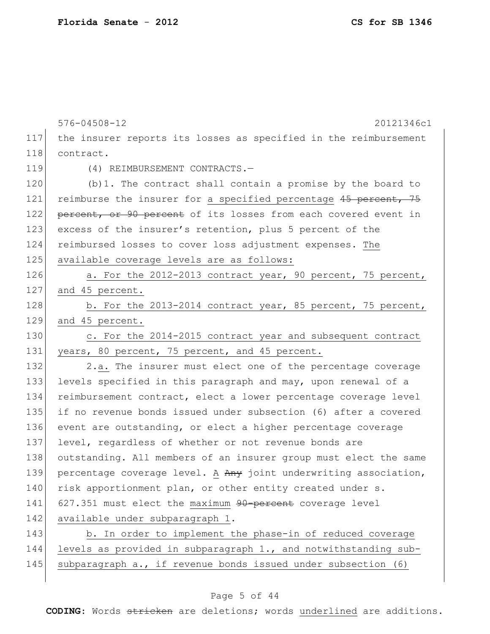|     | $576 - 04508 - 12$<br>20121346c1                                 |
|-----|------------------------------------------------------------------|
| 117 | the insurer reports its losses as specified in the reimbursement |
| 118 | contract.                                                        |
| 119 | (4) REIMBURSEMENT CONTRACTS.-                                    |
| 120 | $(b)$ 1. The contract shall contain a promise by the board to    |
| 121 | reimburse the insurer for a specified percentage 45 percent, 75  |
| 122 | percent, or 90 percent of its losses from each covered event in  |
| 123 | excess of the insurer's retention, plus 5 percent of the         |
| 124 | reimbursed losses to cover loss adjustment expenses. The         |
| 125 | available coverage levels are as follows:                        |
| 126 | a. For the 2012-2013 contract year, 90 percent, 75 percent,      |
| 127 | and 45 percent.                                                  |
| 128 | b. For the 2013-2014 contract year, 85 percent, 75 percent,      |
| 129 | and 45 percent.                                                  |
| 130 | c. For the 2014-2015 contract year and subsequent contract       |
| 131 | years, 80 percent, 75 percent, and 45 percent.                   |
| 132 | 2.a. The insurer must elect one of the percentage coverage       |
| 133 | levels specified in this paragraph and may, upon renewal of a    |
| 134 | reimbursement contract, elect a lower percentage coverage level  |
| 135 | if no revenue bonds issued under subsection (6) after a covered  |
| 136 | event are outstanding, or elect a higher percentage coverage     |
| 137 | level, regardless of whether or not revenue bonds are            |
| 138 | outstanding. All members of an insurer group must elect the same |
| 139 | percentage coverage level. A Any joint underwriting association, |
| 140 | risk apportionment plan, or other entity created under s.        |
| 141 | 627.351 must elect the maximum 90-percent coverage level         |
| 142 | available under subparagraph 1.                                  |
| 143 | b. In order to implement the phase-in of reduced coverage        |
| 144 | levels as provided in subparagraph 1., and notwithstanding sub-  |
| 145 | subparagraph a., if revenue bonds issued under subsection (6)    |

# Page 5 of 44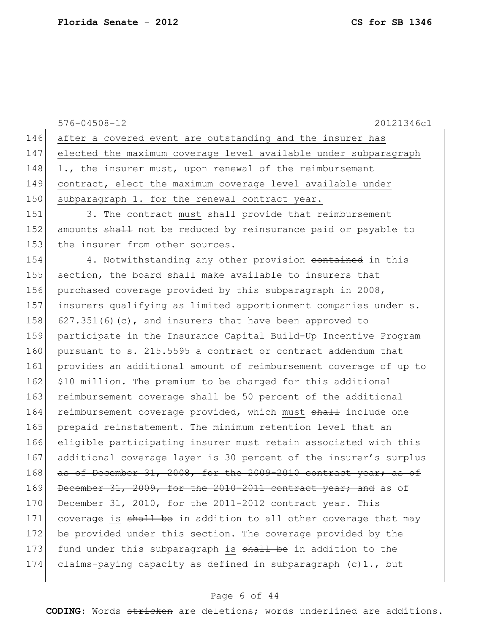|     | $576 - 04508 - 12$<br>20121346c1                                 |
|-----|------------------------------------------------------------------|
| 146 | after a covered event are outstanding and the insurer has        |
| 147 | elected the maximum coverage level available under subparagraph  |
| 148 | 1., the insurer must, upon renewal of the reimbursement          |
| 149 | contract, elect the maximum coverage level available under       |
| 150 | subparagraph 1. for the renewal contract year.                   |
| 151 | 3. The contract must shall provide that reimbursement            |
| 152 | amounts shall not be reduced by reinsurance paid or payable to   |
| 153 | the insurer from other sources.                                  |
| 154 | 4. Notwithstanding any other provision eontained in this         |
| 155 | section, the board shall make available to insurers that         |
| 156 | purchased coverage provided by this subparagraph in 2008,        |
| 157 | insurers qualifying as limited apportionment companies under s.  |
| 158 | $627.351(6)(c)$ , and insurers that have been approved to        |
| 159 | participate in the Insurance Capital Build-Up Incentive Program  |
| 160 | pursuant to s. 215.5595 a contract or contract addendum that     |
| 161 | provides an additional amount of reimbursement coverage of up to |
| 162 | \$10 million. The premium to be charged for this additional      |
| 163 | reimbursement coverage shall be 50 percent of the additional     |
| 164 | reimbursement coverage provided, which must shall include one    |
| 165 | prepaid reinstatement. The minimum retention level that an       |
| 166 | eligible participating insurer must retain associated with this  |
| 167 | additional coverage layer is 30 percent of the insurer's surplus |
| 168 | as of December 31, 2008, for the 2009-2010 contract year; as of  |
| 169 | December 31, 2009, for the 2010-2011 contract year; and as of    |
| 170 | December 31, 2010, for the 2011-2012 contract year. This         |
| 171 | coverage is shall be in addition to all other coverage that may  |
| 172 | be provided under this section. The coverage provided by the     |
| 173 | fund under this subparagraph is shall be in addition to the      |
| 174 | claims-paying capacity as defined in subparagraph $(c)$ 1., but  |
|     |                                                                  |

# Page 6 of 44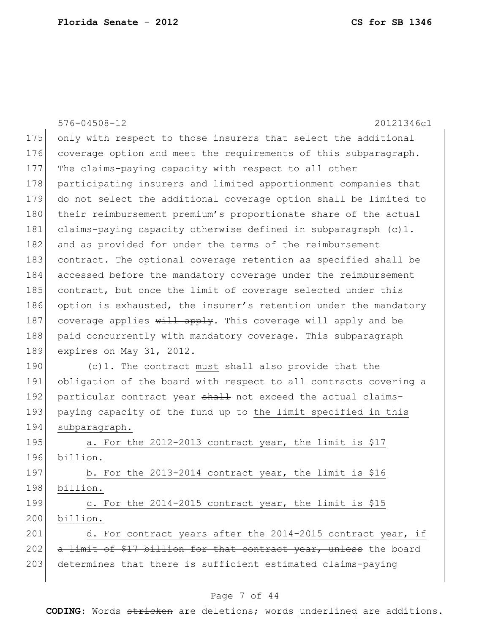|     | $576 - 04508 - 12$<br>20121346c1                                  |
|-----|-------------------------------------------------------------------|
| 175 | only with respect to those insurers that select the additional    |
| 176 | coverage option and meet the requirements of this subparagraph.   |
| 177 | The claims-paying capacity with respect to all other              |
| 178 | participating insurers and limited apportionment companies that   |
| 179 | do not select the additional coverage option shall be limited to  |
| 180 | their reimbursement premium's proportionate share of the actual   |
| 181 | claims-paying capacity otherwise defined in subparagraph $(c)$ 1. |
| 182 | and as provided for under the terms of the reimbursement          |
| 183 | contract. The optional coverage retention as specified shall be   |
| 184 | accessed before the mandatory coverage under the reimbursement    |
| 185 | contract, but once the limit of coverage selected under this      |
| 186 | option is exhausted, the insurer's retention under the mandatory  |
| 187 | coverage applies will apply. This coverage will apply and be      |
| 188 | paid concurrently with mandatory coverage. This subparagraph      |
| 189 | expires on May 31, 2012.                                          |
| 190 | (c)1. The contract must shall also provide that the               |
| 191 | obligation of the board with respect to all contracts covering a  |
| 192 | particular contract year shall not exceed the actual claims-      |
| 193 | paying capacity of the fund up to the limit specified in this     |
| 194 | subparagraph.                                                     |
| 195 | a. For the 2012-2013 contract year, the limit is \$17             |
| 196 | billion.                                                          |
| 197 | b. For the 2013-2014 contract year, the limit is \$16             |
| 198 | billion.                                                          |
| 199 | c. For the 2014-2015 contract year, the limit is \$15             |
| 200 | billion.                                                          |
| 201 | d. For contract years after the 2014-2015 contract year, if       |
| 202 | a limit of \$17 billion for that contract year, unless the board  |
| 203 | determines that there is sufficient estimated claims-paying       |
|     |                                                                   |

# Page 7 of 44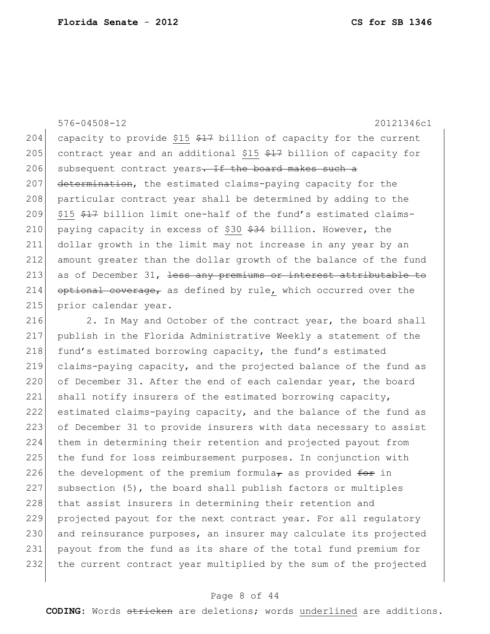576-04508-12 20121346c1 204 capacity to provide \$15  $$17$  billion of capacity for the current 205 contract year and an additional \$15  $$17$  billion of capacity for 206 subsequent contract years. If the board makes such a 207 determination, the estimated claims-paying capacity for the 208 particular contract year shall be determined by adding to the 209  $\mid$  \$15 \$47 billion limit one-half of the fund's estimated claims-210 paying capacity in excess of \$30  $$34$  billion. However, the 211 dollar growth in the limit may not increase in any year by an 212 amount greater than the dollar growth of the balance of the fund 213 as of December 31,  $\frac{1}{1}$  ess any premiums or interest attributable to 214  $optional coverage$ , as defined by rule, which occurred over the 215 prior calendar year.

216 2. In May and October of the contract year, the board shall 217 publish in the Florida Administrative Weekly a statement of the 218 fund's estimated borrowing capacity, the fund's estimated 219 claims-paying capacity, and the projected balance of the fund as 220 of December 31. After the end of each calendar year, the board 221 shall notify insurers of the estimated borrowing capacity, 222 estimated claims-paying capacity, and the balance of the fund as 223 of December 31 to provide insurers with data necessary to assist 224 them in determining their retention and projected payout from 225 the fund for loss reimbursement purposes. In conjunction with 226 the development of the premium formula<sub>r</sub> as provided  $f$ or in 227 subsection (5), the board shall publish factors or multiples 228 that assist insurers in determining their retention and 229 projected payout for the next contract year. For all regulatory 230 and reinsurance purposes, an insurer may calculate its projected 231 payout from the fund as its share of the total fund premium for 232 the current contract year multiplied by the sum of the projected

# Page 8 of 44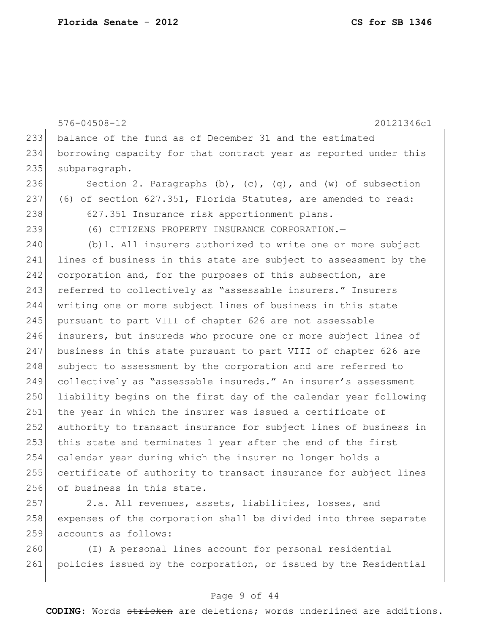576-04508-12 20121346c1 233 balance of the fund as of December 31 and the estimated 234 borrowing capacity for that contract year as reported under this 235 subparagraph. 236 Section 2. Paragraphs  $(b)$ ,  $(c)$ ,  $(q)$ , and  $(w)$  of subsection 237 (6) of section 627.351, Florida Statutes, are amended to read: 238 627.351 Insurance risk apportionment plans.-239 (6) CITIZENS PROPERTY INSURANCE CORPORATION.— 240 (b) 1. All insurers authorized to write one or more subject 241 lines of business in this state are subject to assessment by the 242 corporation and, for the purposes of this subsection, are 243 referred to collectively as "assessable insurers." Insurers 244 writing one or more subject lines of business in this state 245 pursuant to part VIII of chapter 626 are not assessable 246 insurers, but insureds who procure one or more subject lines of 247 business in this state pursuant to part VIII of chapter 626 are 248 subject to assessment by the corporation and are referred to 249 collectively as "assessable insureds." An insurer's assessment 250 liability begins on the first day of the calendar year following 251 the year in which the insurer was issued a certificate of 252 authority to transact insurance for subject lines of business in 253 this state and terminates 1 year after the end of the first 254 calendar year during which the insurer no longer holds a 255 certificate of authority to transact insurance for subject lines 256 of business in this state.

257 2.a. All revenues, assets, liabilities, losses, and 258 expenses of the corporation shall be divided into three separate 259 accounts as follows:

260 (I) A personal lines account for personal residential 261 policies issued by the corporation, or issued by the Residential

# Page 9 of 44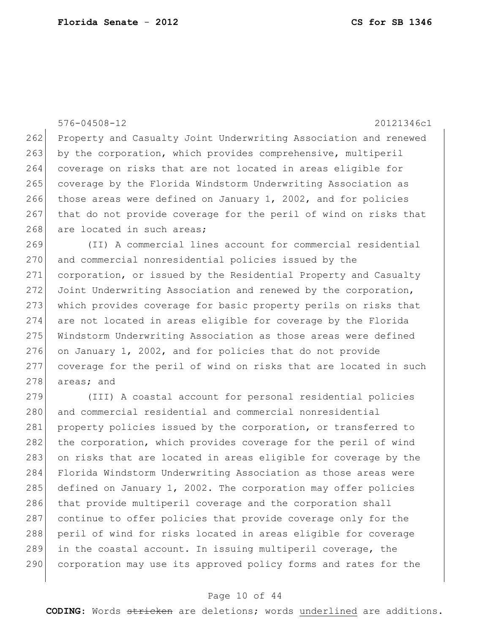576-04508-12 20121346c1 262 Property and Casualty Joint Underwriting Association and renewed 263 by the corporation, which provides comprehensive, multiperil 264 coverage on risks that are not located in areas eligible for 265 coverage by the Florida Windstorm Underwriting Association as 266 those areas were defined on January 1, 2002, and for policies 267 that do not provide coverage for the peril of wind on risks that 268 are located in such areas;

 (II) A commercial lines account for commercial residential 270 and commercial nonresidential policies issued by the corporation, or issued by the Residential Property and Casualty 272 Joint Underwriting Association and renewed by the corporation, which provides coverage for basic property perils on risks that are not located in areas eligible for coverage by the Florida Windstorm Underwriting Association as those areas were defined on January 1, 2002, and for policies that do not provide coverage for the peril of wind on risks that are located in such 278 areas; and

279 (III) A coastal account for personal residential policies 280 and commercial residential and commercial nonresidential 281 property policies issued by the corporation, or transferred to 282 the corporation, which provides coverage for the peril of wind 283 on risks that are located in areas eligible for coverage by the 284 Florida Windstorm Underwriting Association as those areas were 285 defined on January 1, 2002. The corporation may offer policies 286 that provide multiperil coverage and the corporation shall 287 continue to offer policies that provide coverage only for the 288 peril of wind for risks located in areas eligible for coverage 289 in the coastal account. In issuing multiperil coverage, the 290 corporation may use its approved policy forms and rates for the

## Page 10 of 44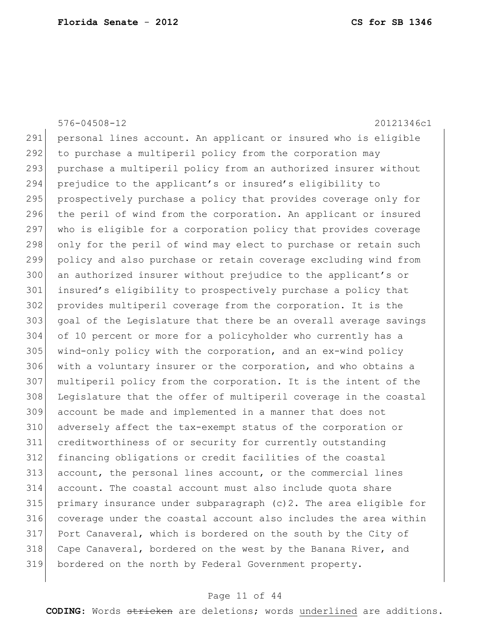576-04508-12 20121346c1 personal lines account. An applicant or insured who is eligible 292 to purchase a multiperil policy from the corporation may purchase a multiperil policy from an authorized insurer without prejudice to the applicant's or insured's eligibility to 295 prospectively purchase a policy that provides coverage only for 296 the peril of wind from the corporation. An applicant or insured 297 who is eligible for a corporation policy that provides coverage 298 only for the peril of wind may elect to purchase or retain such policy and also purchase or retain coverage excluding wind from an authorized insurer without prejudice to the applicant's or insured's eligibility to prospectively purchase a policy that provides multiperil coverage from the corporation. It is the 303 goal of the Legislature that there be an overall average savings of 10 percent or more for a policyholder who currently has a wind-only policy with the corporation, and an ex-wind policy 306 with a voluntary insurer or the corporation, and who obtains a multiperil policy from the corporation. It is the intent of the Legislature that the offer of multiperil coverage in the coastal account be made and implemented in a manner that does not 310 adversely affect the tax-exempt status of the corporation or creditworthiness of or security for currently outstanding financing obligations or credit facilities of the coastal account, the personal lines account, or the commercial lines account. The coastal account must also include quota share primary insurance under subparagraph (c)2. The area eligible for coverage under the coastal account also includes the area within Port Canaveral, which is bordered on the south by the City of 318 Cape Canaveral, bordered on the west by the Banana River, and bordered on the north by Federal Government property.

## Page 11 of 44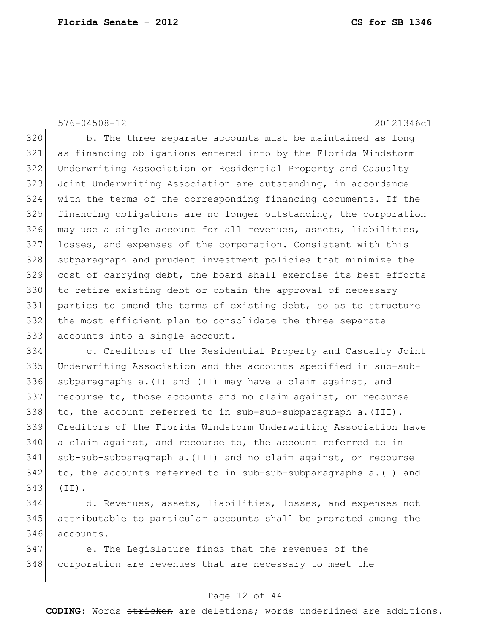576-04508-12 20121346c1

320 b. The three separate accounts must be maintained as long as financing obligations entered into by the Florida Windstorm Underwriting Association or Residential Property and Casualty Joint Underwriting Association are outstanding, in accordance with the terms of the corresponding financing documents. If the financing obligations are no longer outstanding, the corporation 326 may use a single account for all revenues, assets, liabilities, losses, and expenses of the corporation. Consistent with this subparagraph and prudent investment policies that minimize the cost of carrying debt, the board shall exercise its best efforts 330 to retire existing debt or obtain the approval of necessary parties to amend the terms of existing debt, so as to structure the most efficient plan to consolidate the three separate accounts into a single account.

 c. Creditors of the Residential Property and Casualty Joint Underwriting Association and the accounts specified in sub-sub-336 subparagraphs a. (I) and (II) may have a claim against, and recourse to, those accounts and no claim against, or recourse 338 to, the account referred to in sub-sub-subparagraph  $a \cdot (III)$ . Creditors of the Florida Windstorm Underwriting Association have a claim against, and recourse to, the account referred to in sub-sub-subparagraph a.(III) and no claim against, or recourse to, the accounts referred to in sub-sub-subparagraphs a. (I) and (II).

 d. Revenues, assets, liabilities, losses, and expenses not attributable to particular accounts shall be prorated among the accounts.

 e. The Legislature finds that the revenues of the corporation are revenues that are necessary to meet the

## Page 12 of 44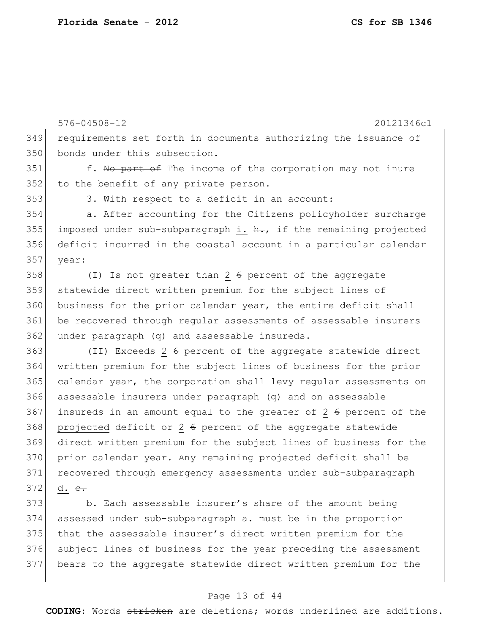576-04508-12 20121346c1 requirements set forth in documents authorizing the issuance of 350 bonds under this subsection. 351 f. No part of The income of the corporation may not inure 352 to the benefit of any private person. 3. With respect to a deficit in an account: a. After accounting for the Citizens policyholder surcharge 355 imposed under sub-subparagraph i.  $h$ ., if the remaining projected deficit incurred in the coastal account in a particular calendar year: (I) Is not greater than 2  $\theta$  percent of the aggregate statewide direct written premium for the subject lines of 360 business for the prior calendar year, the entire deficit shall be recovered through regular assessments of assessable insurers under paragraph (q) and assessable insureds. (II) Exceeds 2 6 percent of the aggregate statewide direct written premium for the subject lines of business for the prior calendar year, the corporation shall levy regular assessments on assessable insurers under paragraph (q) and on assessable 367 insureds in an amount equal to the greater of  $2\,6$  percent of the projected deficit or 2  $6$  percent of the aggregate statewide direct written premium for the subject lines of business for the prior calendar year. Any remaining projected deficit shall be recovered through emergency assessments under sub-subparagraph d.  $e_{\tau}$  b. Each assessable insurer's share of the amount being assessed under sub-subparagraph a. must be in the proportion that the assessable insurer's direct written premium for the

376 subject lines of business for the year preceding the assessment bears to the aggregate statewide direct written premium for the

## Page 13 of 44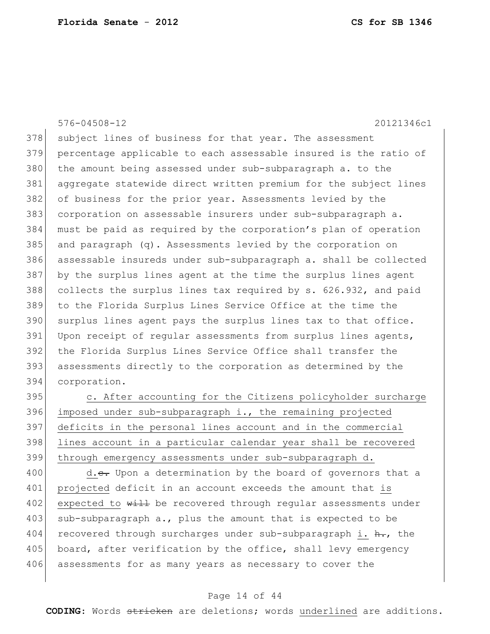576-04508-12 20121346c1 378 subject lines of business for that year. The assessment 379 percentage applicable to each assessable insured is the ratio of 380 the amount being assessed under sub-subparagraph a. to the 381 aggregate statewide direct written premium for the subject lines 382 of business for the prior year. Assessments levied by the 383 corporation on assessable insurers under sub-subparagraph a. 384 must be paid as required by the corporation's plan of operation 385 and paragraph (q). Assessments levied by the corporation on 386 assessable insureds under sub-subparagraph a. shall be collected 387 by the surplus lines agent at the time the surplus lines agent 388 collects the surplus lines tax required by s. 626.932, and paid 389 to the Florida Surplus Lines Service Office at the time the 390 surplus lines agent pays the surplus lines tax to that office. 391 Upon receipt of regular assessments from surplus lines agents, 392 | the Florida Surplus Lines Service Office shall transfer the 393 assessments directly to the corporation as determined by the 394 corporation.

395 c. After accounting for the Citizens policyholder surcharge imposed under sub-subparagraph i., the remaining projected deficits in the personal lines account and in the commercial lines account in a particular calendar year shall be recovered through emergency assessments under sub-subparagraph d.

400 d.c. Upon a determination by the board of governors that a 401 projected deficit in an account exceeds the amount that is 402 expected to will be recovered through regular assessments under 403 sub-subparagraph a., plus the amount that is expected to be 404 recovered through surcharges under sub-subparagraph i.  $h_{\tau}$ , the 405 board, after verification by the office, shall levy emergency 406 assessments for as many years as necessary to cover the

## Page 14 of 44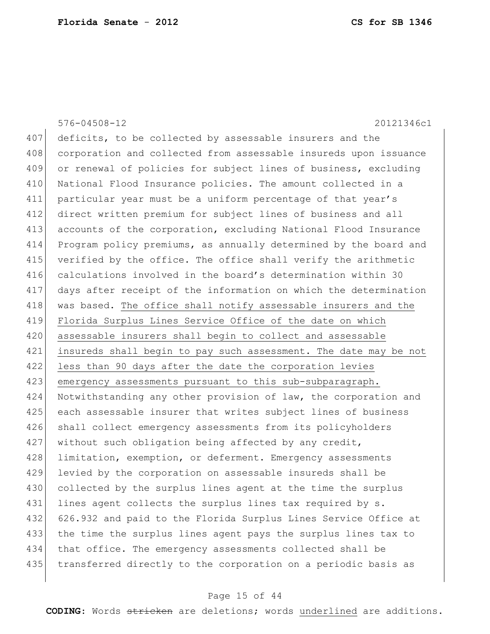576-04508-12 20121346c1 407 deficits, to be collected by assessable insurers and the 408 corporation and collected from assessable insureds upon issuance 409 or renewal of policies for subject lines of business, excluding 410 | National Flood Insurance policies. The amount collected in a 411 particular year must be a uniform percentage of that year's 412 direct written premium for subject lines of business and all 413 accounts of the corporation, excluding National Flood Insurance 414 Program policy premiums, as annually determined by the board and 415 verified by the office. The office shall verify the arithmetic 416 calculations involved in the board's determination within 30 417 days after receipt of the information on which the determination 418 was based. The office shall notify assessable insurers and the 419 Florida Surplus Lines Service Office of the date on which 420 assessable insurers shall begin to collect and assessable 421 insureds shall begin to pay such assessment. The date may be not 422 less than 90 days after the date the corporation levies 423 emergency assessments pursuant to this sub-subparagraph. 424 Notwithstanding any other provision of law, the corporation and 425 each assessable insurer that writes subject lines of business 426 shall collect emergency assessments from its policyholders 427 without such obligation being affected by any credit, 428 limitation, exemption, or deferment. Emergency assessments 429 levied by the corporation on assessable insureds shall be 430 collected by the surplus lines agent at the time the surplus 431 lines agent collects the surplus lines tax required by s. 432 626.932 and paid to the Florida Surplus Lines Service Office at 433 the time the surplus lines agent pays the surplus lines tax to 434 | that office. The emergency assessments collected shall be 435 transferred directly to the corporation on a periodic basis as

## Page 15 of 44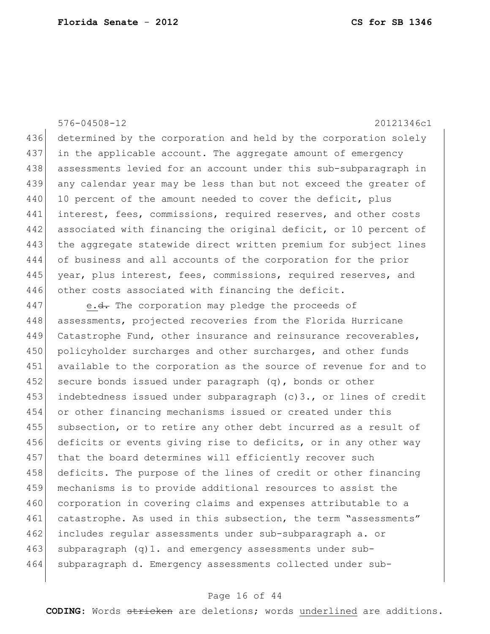576-04508-12 20121346c1 436 determined by the corporation and held by the corporation solely 437 in the applicable account. The aggregate amount of emergency 438 assessments levied for an account under this sub-subparagraph in 439 any calendar year may be less than but not exceed the greater of 440 10 percent of the amount needed to cover the deficit, plus 441 interest, fees, commissions, required reserves, and other costs 442 associated with financing the original deficit, or 10 percent of 443 the aggregate statewide direct written premium for subject lines 444 of business and all accounts of the corporation for the prior 445 year, plus interest, fees, commissions, required reserves, and 446 other costs associated with financing the deficit.

447 e.<del>d.</del> The corporation may pledge the proceeds of 448 assessments, projected recoveries from the Florida Hurricane 449 Catastrophe Fund, other insurance and reinsurance recoverables, 450 policyholder surcharges and other surcharges, and other funds 451 available to the corporation as the source of revenue for and to 452 secure bonds issued under paragraph  $(q)$ , bonds or other 453 indebtedness issued under subparagraph (c)3., or lines of credit 454 or other financing mechanisms issued or created under this 455 subsection, or to retire any other debt incurred as a result of 456 deficits or events giving rise to deficits, or in any other way 457 that the board determines will efficiently recover such 458 deficits. The purpose of the lines of credit or other financing 459 mechanisms is to provide additional resources to assist the 460 corporation in covering claims and expenses attributable to a 461 catastrophe. As used in this subsection, the term "assessments" 462 includes regular assessments under sub-subparagraph a. or  $463$  subparagraph (q)1. and emergency assessments under sub-464 subparagraph d. Emergency assessments collected under sub-

#### Page 16 of 44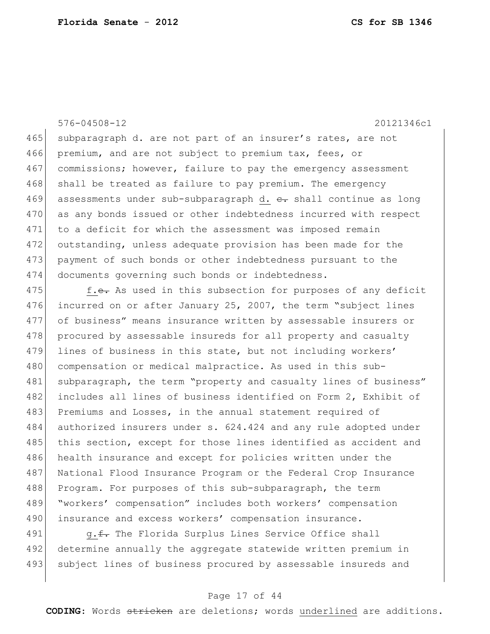576-04508-12 20121346c1

465 subparagraph d. are not part of an insurer's rates, are not 466 premium, and are not subject to premium tax, fees, or 467 commissions; however, failure to pay the emergency assessment 468 shall be treated as failure to pay premium. The emergency 469 assessments under sub-subparagraph d.  $e$ . shall continue as long 470 as any bonds issued or other indebtedness incurred with respect 471 to a deficit for which the assessment was imposed remain 472 outstanding, unless adequate provision has been made for the 473 payment of such bonds or other indebtedness pursuant to the 474 documents governing such bonds or indebtedness.

475 f.e. As used in this subsection for purposes of any deficit 476 incurred on or after January 25, 2007, the term "subject lines 477 of business" means insurance written by assessable insurers or 478 procured by assessable insureds for all property and casualty 479 lines of business in this state, but not including workers' 480 compensation or medical malpractice. As used in this sub-481 subparagraph, the term "property and casualty lines of business" 482 includes all lines of business identified on Form 2, Exhibit of 483 Premiums and Losses, in the annual statement required of 484 authorized insurers under s. 624.424 and any rule adopted under 485 this section, except for those lines identified as accident and 486 health insurance and except for policies written under the 487 National Flood Insurance Program or the Federal Crop Insurance 488 Program. For purposes of this sub-subparagraph, the term 489 "workers' compensation" includes both workers' compensation 490 insurance and excess workers' compensation insurance.

491  $q.f.$  The Florida Surplus Lines Service Office shall 492 determine annually the aggregate statewide written premium in 493 subject lines of business procured by assessable insureds and

## Page 17 of 44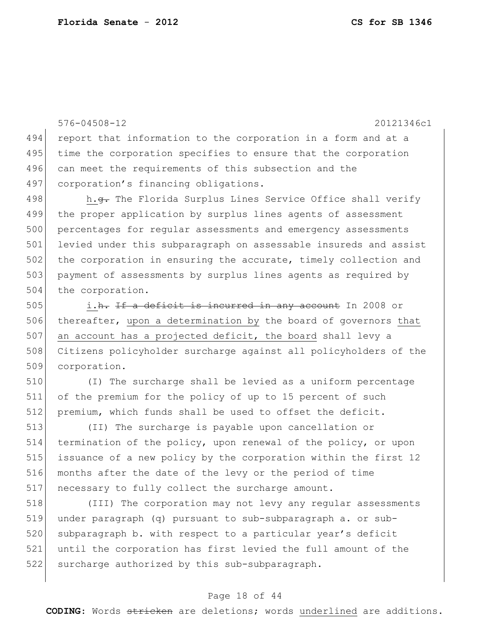576-04508-12 20121346c1 494 report that information to the corporation in a form and at a 495 time the corporation specifies to ensure that the corporation 496 can meet the requirements of this subsection and the 497 corporation's financing obligations. 498 h.<del>g.</del> The Florida Surplus Lines Service Office shall verify 499 the proper application by surplus lines agents of assessment 500 percentages for regular assessments and emergency assessments 501 levied under this subparagraph on assessable insureds and assist 502 the corporation in ensuring the accurate, timely collection and 503 payment of assessments by surplus lines agents as required by 504 the corporation. 505 i.h. If a deficit is incurred in any account In 2008 or 506 thereafter, upon a determination by the board of governors that 507 an account has a projected deficit, the board shall levy a 508 Citizens policyholder surcharge against all policyholders of the 509 corporation. 510 (I) The surcharge shall be levied as a uniform percentage 511 of the premium for the policy of up to 15 percent of such 512 premium, which funds shall be used to offset the deficit.

 (II) The surcharge is payable upon cancellation or termination of the policy, upon renewal of the policy, or upon issuance of a new policy by the corporation within the first 12 months after the date of the levy or the period of time 517 | necessary to fully collect the surcharge amount.

518 (III) The corporation may not levy any regular assessments 519 under paragraph (q) pursuant to sub-subparagraph a. or sub-520 subparagraph b. with respect to a particular year's deficit 521 until the corporation has first levied the full amount of the 522 surcharge authorized by this sub-subparagraph.

## Page 18 of 44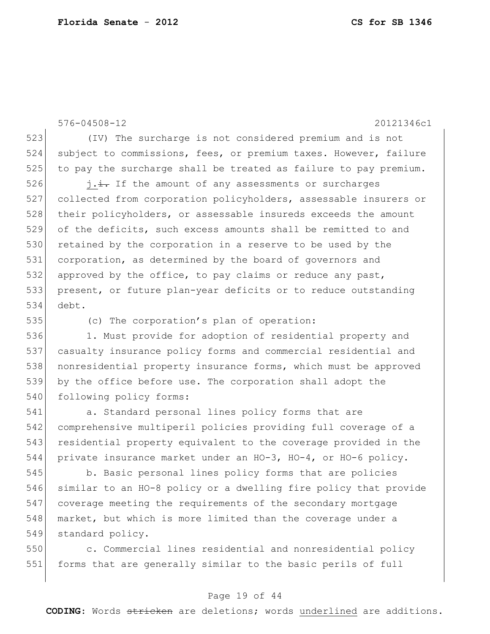576-04508-12 20121346c1 523 (IV) The surcharge is not considered premium and is not 524 subject to commissions, fees, or premium taxes. However, failure 525 to pay the surcharge shall be treated as failure to pay premium.  $526$  j.i. If the amount of any assessments or surcharges 527 collected from corporation policyholders, assessable insurers or 528 their policyholders, or assessable insureds exceeds the amount 529 of the deficits, such excess amounts shall be remitted to and 530 retained by the corporation in a reserve to be used by the 531 corporation, as determined by the board of governors and 532 approved by the office, to pay claims or reduce any past, 533 present, or future plan-year deficits or to reduce outstanding 534 debt. 535 (c) The corporation's plan of operation: 536 1. Must provide for adoption of residential property and 537 casualty insurance policy forms and commercial residential and

538 | nonresidential property insurance forms, which must be approved 539 by the office before use. The corporation shall adopt the 540 following policy forms:

 a. Standard personal lines policy forms that are comprehensive multiperil policies providing full coverage of a residential property equivalent to the coverage provided in the private insurance market under an HO-3, HO-4, or HO-6 policy.

545 b. Basic personal lines policy forms that are policies 546 similar to an HO-8 policy or a dwelling fire policy that provide 547 coverage meeting the requirements of the secondary mortgage 548 market, but which is more limited than the coverage under a 549 standard policy.

550 c. Commercial lines residential and nonresidential policy 551 forms that are generally similar to the basic perils of full

# Page 19 of 44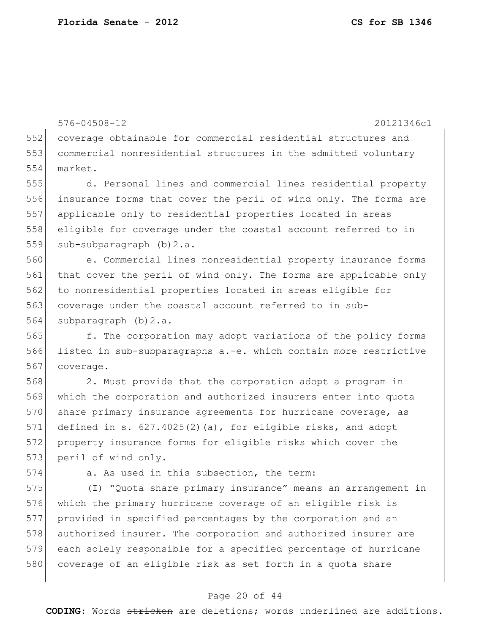576-04508-12 20121346c1 552 coverage obtainable for commercial residential structures and 553 commercial nonresidential structures in the admitted voluntary 554 market.

 d. Personal lines and commercial lines residential property insurance forms that cover the peril of wind only. The forms are applicable only to residential properties located in areas eligible for coverage under the coastal account referred to in 559 sub-subparagraph (b) 2.a.

560 e. Commercial lines nonresidential property insurance forms 561 that cover the peril of wind only. The forms are applicable only 562 to nonresidential properties located in areas eligible for 563 coverage under the coastal account referred to in sub-564 subparagraph (b) 2.a.

565 f. The corporation may adopt variations of the policy forms 566 listed in sub-subparagraphs a.-e. which contain more restrictive 567 coverage.

568 2. Must provide that the corporation adopt a program in 569 which the corporation and authorized insurers enter into quota 570 share primary insurance agreements for hurricane coverage, as 571 defined in s.  $627.4025(2)(a)$ , for eligible risks, and adopt 572 property insurance forms for eligible risks which cover the 573 peril of wind only.

574 a. As used in this subsection, the term:

 (I) "Quota share primary insurance" means an arrangement in which the primary hurricane coverage of an eligible risk is provided in specified percentages by the corporation and an authorized insurer. The corporation and authorized insurer are each solely responsible for a specified percentage of hurricane 580 coverage of an eligible risk as set forth in a quota share

# Page 20 of 44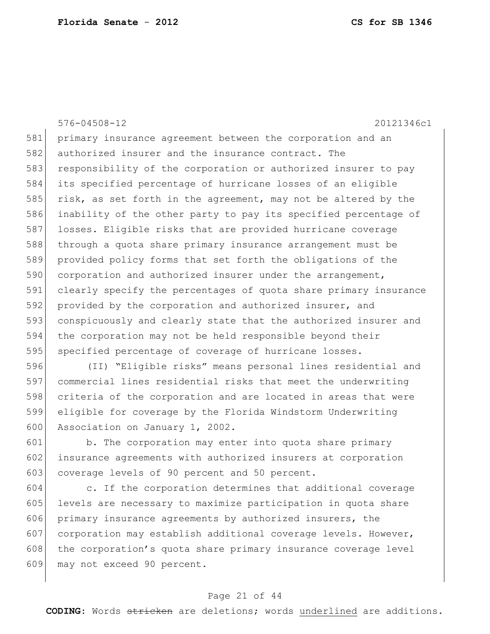576-04508-12 20121346c1 primary insurance agreement between the corporation and an authorized insurer and the insurance contract. The 583 responsibility of the corporation or authorized insurer to pay its specified percentage of hurricane losses of an eligible 585 risk, as set forth in the agreement, may not be altered by the inability of the other party to pay its specified percentage of losses. Eligible risks that are provided hurricane coverage through a quota share primary insurance arrangement must be provided policy forms that set forth the obligations of the 590 corporation and authorized insurer under the arrangement, clearly specify the percentages of quota share primary insurance 592 provided by the corporation and authorized insurer, and conspicuously and clearly state that the authorized insurer and the corporation may not be held responsible beyond their 595 specified percentage of coverage of hurricane losses.

596 (II) "Eligible risks" means personal lines residential and 597 commercial lines residential risks that meet the underwriting 598 criteria of the corporation and are located in areas that were 599 eligible for coverage by the Florida Windstorm Underwriting 600 Association on January 1, 2002.

601 b. The corporation may enter into quota share primary 602 insurance agreements with authorized insurers at corporation 603 coverage levels of 90 percent and 50 percent.

604 c. If the corporation determines that additional coverage 605 levels are necessary to maximize participation in quota share 606 primary insurance agreements by authorized insurers, the 607 corporation may establish additional coverage levels. However, 608 the corporation's quota share primary insurance coverage level 609 may not exceed 90 percent.

## Page 21 of 44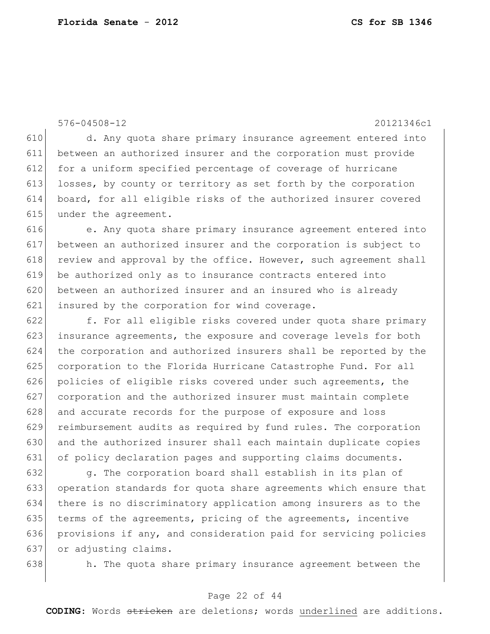576-04508-12 20121346c1

610 d. Any quota share primary insurance agreement entered into 611 between an authorized insurer and the corporation must provide 612 for a uniform specified percentage of coverage of hurricane 613 losses, by county or territory as set forth by the corporation 614 board, for all eligible risks of the authorized insurer covered 615 under the agreement.

616 e. Any quota share primary insurance agreement entered into 617 between an authorized insurer and the corporation is subject to 618 review and approval by the office. However, such agreement shall 619 be authorized only as to insurance contracts entered into 620 between an authorized insurer and an insured who is already 621 insured by the corporation for wind coverage.

622 f. For all eligible risks covered under quota share primary 623 insurance agreements, the exposure and coverage levels for both 624 the corporation and authorized insurers shall be reported by the 625 corporation to the Florida Hurricane Catastrophe Fund. For all 626 policies of eligible risks covered under such agreements, the 627 corporation and the authorized insurer must maintain complete 628 and accurate records for the purpose of exposure and loss 629 reimbursement audits as required by fund rules. The corporation 630 and the authorized insurer shall each maintain duplicate copies 631 of policy declaration pages and supporting claims documents.

 g. The corporation board shall establish in its plan of operation standards for quota share agreements which ensure that there is no discriminatory application among insurers as to the 635 terms of the agreements, pricing of the agreements, incentive provisions if any, and consideration paid for servicing policies or adjusting claims.

638 h. The quota share primary insurance agreement between the

# Page 22 of 44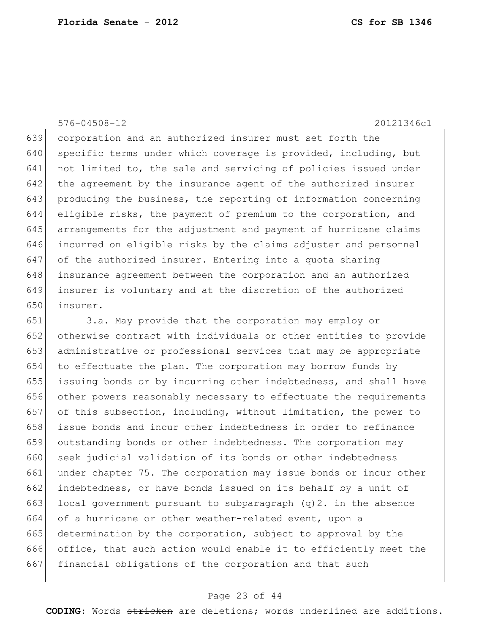# 576-04508-12 20121346c1

 corporation and an authorized insurer must set forth the 640 specific terms under which coverage is provided, including, but not limited to, the sale and servicing of policies issued under 642 the agreement by the insurance agent of the authorized insurer producing the business, the reporting of information concerning eligible risks, the payment of premium to the corporation, and arrangements for the adjustment and payment of hurricane claims incurred on eligible risks by the claims adjuster and personnel 647 of the authorized insurer. Entering into a quota sharing insurance agreement between the corporation and an authorized insurer is voluntary and at the discretion of the authorized insurer.

 3.a. May provide that the corporation may employ or otherwise contract with individuals or other entities to provide administrative or professional services that may be appropriate to effectuate the plan. The corporation may borrow funds by issuing bonds or by incurring other indebtedness, and shall have other powers reasonably necessary to effectuate the requirements of this subsection, including, without limitation, the power to issue bonds and incur other indebtedness in order to refinance outstanding bonds or other indebtedness. The corporation may 660 seek judicial validation of its bonds or other indebtedness under chapter 75. The corporation may issue bonds or incur other 662 indebtedness, or have bonds issued on its behalf by a unit of 663 local government pursuant to subparagraph  $(q)$ 2. in the absence of a hurricane or other weather-related event, upon a determination by the corporation, subject to approval by the office, that such action would enable it to efficiently meet the financial obligations of the corporation and that such

#### Page 23 of 44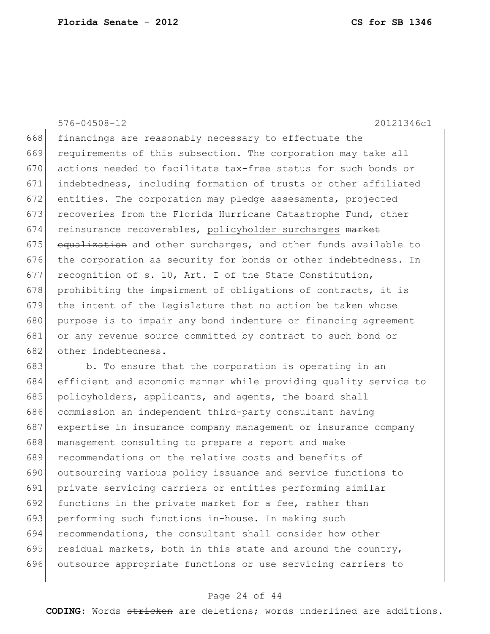576-04508-12 20121346c1 668 financings are reasonably necessary to effectuate the 669 requirements of this subsection. The corporation may take all 670 actions needed to facilitate tax-free status for such bonds or 671 indebtedness, including formation of trusts or other affiliated 672 entities. The corporation may pledge assessments, projected 673 recoveries from the Florida Hurricane Catastrophe Fund, other 674 reinsurance recoverables, policyholder surcharges market  $675$  equalization and other surcharges, and other funds available to 676 the corporation as security for bonds or other indebtedness. In 677 recognition of s. 10, Art. I of the State Constitution, 678 prohibiting the impairment of obligations of contracts, it is 679 the intent of the Legislature that no action be taken whose 680 purpose is to impair any bond indenture or financing agreement 681 or any revenue source committed by contract to such bond or 682 other indebtedness.

683 b. To ensure that the corporation is operating in an efficient and economic manner while providing quality service to 685 policyholders, applicants, and agents, the board shall commission an independent third-party consultant having expertise in insurance company management or insurance company management consulting to prepare a report and make 689 recommendations on the relative costs and benefits of outsourcing various policy issuance and service functions to private servicing carriers or entities performing similar 692 functions in the private market for a fee, rather than performing such functions in-house. In making such recommendations, the consultant shall consider how other 695 residual markets, both in this state and around the country, outsource appropriate functions or use servicing carriers to

## Page 24 of 44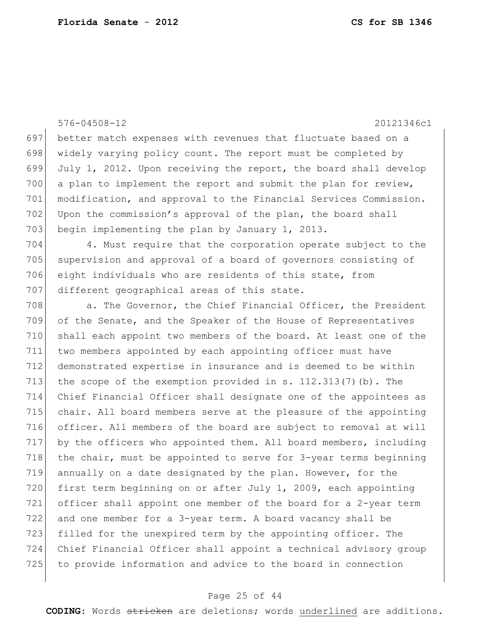576-04508-12 20121346c1 697 better match expenses with revenues that fluctuate based on a 698 widely varying policy count. The report must be completed by 699 July 1, 2012. Upon receiving the report, the board shall develop 700 a plan to implement the report and submit the plan for review, 701 modification, and approval to the Financial Services Commission. 702 Upon the commission's approval of the plan, the board shall 703 begin implementing the plan by January 1, 2013. 704 4. Must require that the corporation operate subject to the 705 supervision and approval of a board of governors consisting of 706 eight individuals who are residents of this state, from 707 different geographical areas of this state. 708 a. The Governor, the Chief Financial Officer, the President 709 of the Senate, and the Speaker of the House of Representatives 710 shall each appoint two members of the board. At least one of the 711 two members appointed by each appointing officer must have 712 demonstrated expertise in insurance and is deemed to be within 713 the scope of the exemption provided in s.  $112.313(7)(b)$ . The 714 Chief Financial Officer shall designate one of the appointees as 715 chair. All board members serve at the pleasure of the appointing 716 officer. All members of the board are subject to removal at will 717 by the officers who appointed them. All board members, including 718 the chair, must be appointed to serve for  $3$ -year terms beginning 719 annually on a date designated by the plan. However, for the 720 first term beginning on or after July 1, 2009, each appointing 721 officer shall appoint one member of the board for a 2-year term 722 and one member for a 3-year term. A board vacancy shall be 723 filled for the unexpired term by the appointing officer. The 724 Chief Financial Officer shall appoint a technical advisory group 725 to provide information and advice to the board in connection

# Page 25 of 44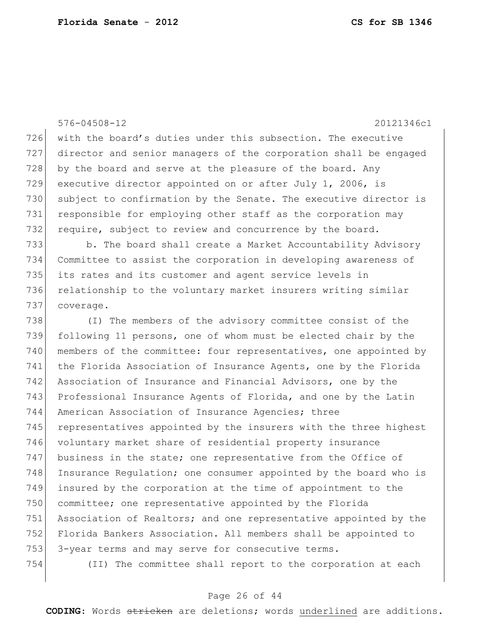576-04508-12 20121346c1 726 with the board's duties under this subsection. The executive 727 director and senior managers of the corporation shall be engaged 728 by the board and serve at the pleasure of the board. Any 729 executive director appointed on or after July 1, 2006, is 730 subject to confirmation by the Senate. The executive director is 731 responsible for employing other staff as the corporation may 732 require, subject to review and concurrence by the board. 733 b. The board shall create a Market Accountability Advisory 734 Committee to assist the corporation in developing awareness of 735 its rates and its customer and agent service levels in 736 relationship to the voluntary market insurers writing similar 737 coverage. 738 (I) The members of the advisory committee consist of the 739 following 11 persons, one of whom must be elected chair by the 740 members of the committee: four representatives, one appointed by 741 the Florida Association of Insurance Agents, one by the Florida 742 Association of Insurance and Financial Advisors, one by the 743 Professional Insurance Agents of Florida, and one by the Latin 744 American Association of Insurance Agencies; three 745 representatives appointed by the insurers with the three highest 746 voluntary market share of residential property insurance 747 business in the state; one representative from the Office of 748 Insurance Regulation; one consumer appointed by the board who is

750 committee; one representative appointed by the Florida 751 Association of Realtors; and one representative appointed by the 752 Florida Bankers Association. All members shall be appointed to 753 3-year terms and may serve for consecutive terms.

749 insured by the corporation at the time of appointment to the

754 (II) The committee shall report to the corporation at each

# Page 26 of 44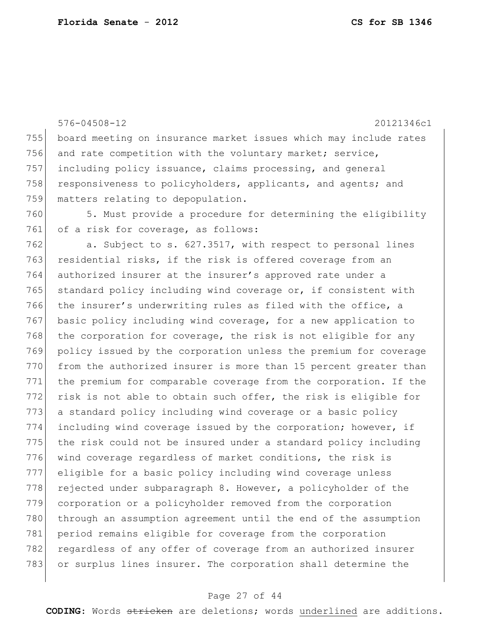576-04508-12 20121346c1 755 board meeting on insurance market issues which may include rates 756 and rate competition with the voluntary market; service, 757 including policy issuance, claims processing, and general 758 responsiveness to policyholders, applicants, and agents; and 759 matters relating to depopulation. 760 5. Must provide a procedure for determining the eligibility 761 of a risk for coverage, as follows: 762 a. Subject to s. 627.3517, with respect to personal lines 763 residential risks, if the risk is offered coverage from an 764 authorized insurer at the insurer's approved rate under a 765 standard policy including wind coverage or, if consistent with 766 the insurer's underwriting rules as filed with the office, a 767 basic policy including wind coverage, for a new application to 768 the corporation for coverage, the risk is not eligible for any 769 policy issued by the corporation unless the premium for coverage 770 from the authorized insurer is more than 15 percent greater than 771 the premium for comparable coverage from the corporation. If the 772 risk is not able to obtain such offer, the risk is eligible for 773 a standard policy including wind coverage or a basic policy 774 including wind coverage issued by the corporation; however, if 775 the risk could not be insured under a standard policy including 776 wind coverage regardless of market conditions, the risk is 777 eligible for a basic policy including wind coverage unless 778 rejected under subparagraph 8. However, a policyholder of the 779 corporation or a policyholder removed from the corporation 780 through an assumption agreement until the end of the assumption 781 period remains eligible for coverage from the corporation 782 regardless of any offer of coverage from an authorized insurer 783 or surplus lines insurer. The corporation shall determine the

#### Page 27 of 44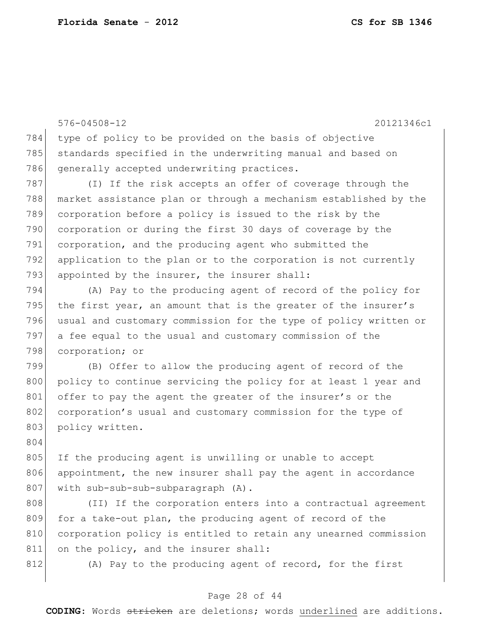576-04508-12 20121346c1 784 type of policy to be provided on the basis of objective 785 standards specified in the underwriting manual and based on 786 generally accepted underwriting practices. 787 (I) If the risk accepts an offer of coverage through the 788 market assistance plan or through a mechanism established by the 789 corporation before a policy is issued to the risk by the 790 corporation or during the first 30 days of coverage by the 791 corporation, and the producing agent who submitted the 792 application to the plan or to the corporation is not currently 793 appointed by the insurer, the insurer shall: 794 (A) Pay to the producing agent of record of the policy for 795 the first year, an amount that is the greater of the insurer's 796 usual and customary commission for the type of policy written or 797 a fee equal to the usual and customary commission of the

798 corporation; or 799 (B) Offer to allow the producing agent of record of the 800 policy to continue servicing the policy for at least 1 year and 801 offer to pay the agent the greater of the insurer's or the 802 corporation's usual and customary commission for the type of

805 If the producing agent is unwilling or unable to accept 806 appointment, the new insurer shall pay the agent in accordance 807 | with sub-sub-sub-subparagraph (A).

808 (II) If the corporation enters into a contractual agreement 809 for a take-out plan, the producing agent of record of the 810 corporation policy is entitled to retain any unearned commission 811 on the policy, and the insurer shall:

804

803 policy written.

812 (A) Pay to the producing agent of record, for the first

## Page 28 of 44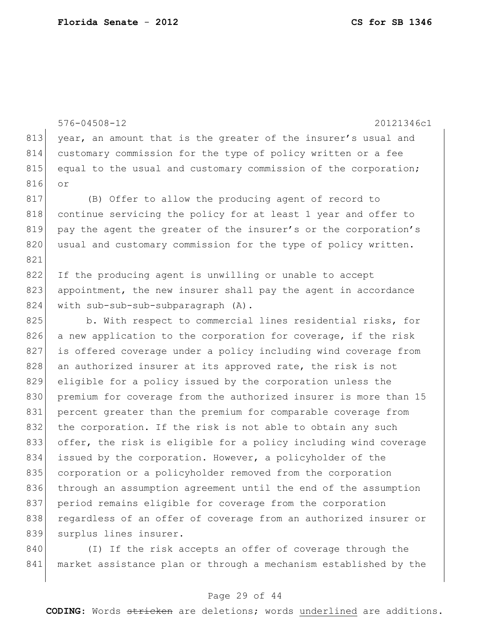|     | $576 - 04508 - 12$<br>20121346c1                                 |
|-----|------------------------------------------------------------------|
| 813 | year, an amount that is the greater of the insurer's usual and   |
| 814 | customary commission for the type of policy written or a fee     |
| 815 | equal to the usual and customary commission of the corporation;  |
| 816 | or                                                               |
| 817 | (B) Offer to allow the producing agent of record to              |
| 818 | continue servicing the policy for at least 1 year and offer to   |
| 819 | pay the agent the greater of the insurer's or the corporation's  |
| 820 | usual and customary commission for the type of policy written.   |
| 821 |                                                                  |
| 822 | If the producing agent is unwilling or unable to accept          |
| 823 | appointment, the new insurer shall pay the agent in accordance   |
| 824 | with sub-sub-sub-subparagraph (A).                               |
| 825 | b. With respect to commercial lines residential risks, for       |
| 826 | a new application to the corporation for coverage, if the risk   |
| 827 | is offered coverage under a policy including wind coverage from  |
| 828 | an authorized insurer at its approved rate, the risk is not      |
| 829 | eligible for a policy issued by the corporation unless the       |
| 830 | premium for coverage from the authorized insurer is more than 15 |
| 831 | percent greater than the premium for comparable coverage from    |
| 832 | the corporation. If the risk is not able to obtain any such      |
| 833 | offer, the risk is eligible for a policy including wind coverage |
| 834 | issued by the corporation. However, a policyholder of the        |
| 835 | corporation or a policyholder removed from the corporation       |
| 836 | through an assumption agreement until the end of the assumption  |
| 837 | period remains eligible for coverage from the corporation        |
| 838 | regardless of an offer of coverage from an authorized insurer or |
| 839 | surplus lines insurer.                                           |
| 840 | (I) If the risk accepts an offer of coverage through the         |

841 market assistance plan or through a mechanism established by the

# Page 29 of 44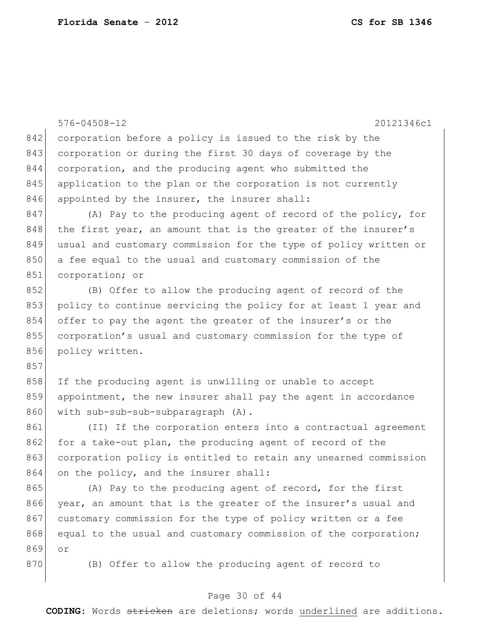|     | $576 - 04508 - 12$<br>20121346c1                                 |
|-----|------------------------------------------------------------------|
| 842 | corporation before a policy is issued to the risk by the         |
| 843 | corporation or during the first 30 days of coverage by the       |
| 844 | corporation, and the producing agent who submitted the           |
| 845 | application to the plan or the corporation is not currently      |
| 846 | appointed by the insurer, the insurer shall:                     |
| 847 | (A) Pay to the producing agent of record of the policy, for      |
| 848 | the first year, an amount that is the greater of the insurer's   |
| 849 | usual and customary commission for the type of policy written or |
| 850 | a fee equal to the usual and customary commission of the         |
| 851 | corporation; or                                                  |
| 852 | (B) Offer to allow the producing agent of record of the          |
| 853 | policy to continue servicing the policy for at least 1 year and  |
| 854 | offer to pay the agent the greater of the insurer's or the       |
| 855 | corporation's usual and customary commission for the type of     |
| 856 | policy written.                                                  |
| 857 |                                                                  |
| 858 | If the producing agent is unwilling or unable to accept          |
| 859 | appointment, the new insurer shall pay the agent in accordance   |
| 860 | with sub-sub-sub-subparagraph (A).                               |
| 861 | (II) If the corporation enters into a contractual agreement      |
| 862 | for a take-out plan, the producing agent of record of the        |
| 863 | corporation policy is entitled to retain any unearned commission |
| 864 | on the policy, and the insurer shall:                            |
| 865 | (A) Pay to the producing agent of record, for the first          |
| 866 | year, an amount that is the greater of the insurer's usual and   |
| 867 | customary commission for the type of policy written or a fee     |
| 868 | equal to the usual and customary commission of the corporation;  |
| 869 | Оr                                                               |
| 870 | (B) Offer to allow the producing agent of record to              |
|     |                                                                  |

# Page 30 of 44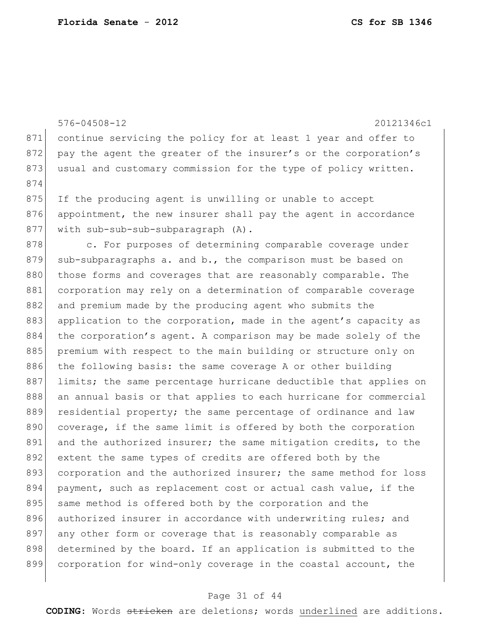576-04508-12 20121346c1 871 continue servicing the policy for at least 1 year and offer to 872 pay the agent the greater of the insurer's or the corporation's 873 usual and customary commission for the type of policy written. 874 875 If the producing agent is unwilling or unable to accept 876 appointment, the new insurer shall pay the agent in accordance 877 with sub-sub-sub-subparagraph (A). 878 c. For purposes of determining comparable coverage under 879 sub-subparagraphs a. and b., the comparison must be based on 880 those forms and coverages that are reasonably comparable. The 881 corporation may rely on a determination of comparable coverage 882 and premium made by the producing agent who submits the 883 application to the corporation, made in the agent's capacity as 884 the corporation's agent. A comparison may be made solely of the 885 premium with respect to the main building or structure only on 886 the following basis: the same coverage A or other building 887 limits; the same percentage hurricane deductible that applies on 888 an annual basis or that applies to each hurricane for commercial 889 residential property; the same percentage of ordinance and law 890 coverage, if the same limit is offered by both the corporation 891 and the authorized insurer; the same mitigation credits, to the 892 extent the same types of credits are offered both by the 893 corporation and the authorized insurer; the same method for loss 894 payment, such as replacement cost or actual cash value, if the 895 same method is offered both by the corporation and the 896 authorized insurer in accordance with underwriting rules; and 897 any other form or coverage that is reasonably comparable as 898 determined by the board. If an application is submitted to the 899 corporation for wind-only coverage in the coastal account, the

## Page 31 of 44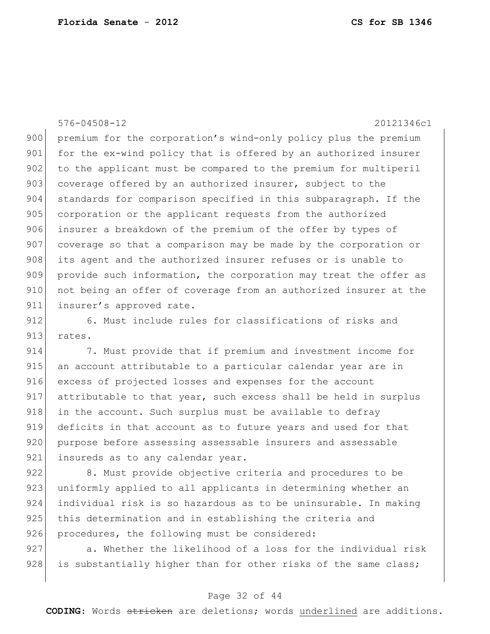576-04508-12 20121346c1

900 premium for the corporation's wind-only policy plus the premium 901 for the ex-wind policy that is offered by an authorized insurer 902 to the applicant must be compared to the premium for multiperil 903 coverage offered by an authorized insurer, subject to the 904 standards for comparison specified in this subparagraph. If the 905 corporation or the applicant requests from the authorized 906 insurer a breakdown of the premium of the offer by types of 907 coverage so that a comparison may be made by the corporation or 908 its agent and the authorized insurer refuses or is unable to 909 provide such information, the corporation may treat the offer as 910 not being an offer of coverage from an authorized insurer at the 911 insurer's approved rate.

912 6. Must include rules for classifications of risks and 913 rates.

914 7. Must provide that if premium and investment income for 915 an account attributable to a particular calendar year are in 916 excess of projected losses and expenses for the account 917 attributable to that year, such excess shall be held in surplus 918 | in the account. Such surplus must be available to defray 919 deficits in that account as to future years and used for that 920 purpose before assessing assessable insurers and assessable 921 insureds as to any calendar year.

922 8. Must provide objective criteria and procedures to be 923 uniformly applied to all applicants in determining whether an 924 individual risk is so hazardous as to be uninsurable. In making 925 this determination and in establishing the criteria and 926 procedures, the following must be considered:

927 a. Whether the likelihood of a loss for the individual risk 928 is substantially higher than for other risks of the same class;

# Page 32 of 44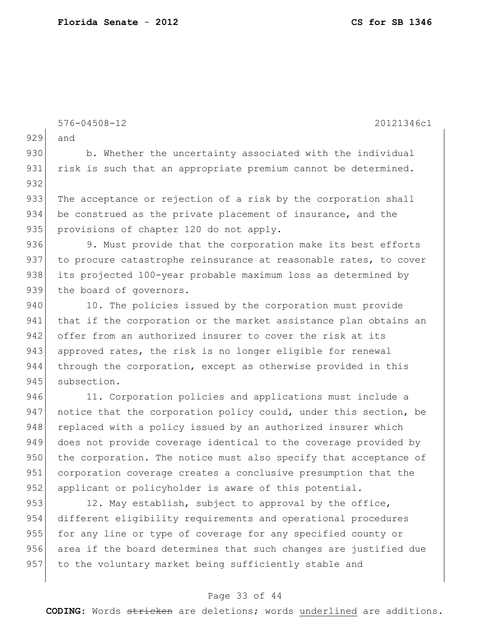576-04508-12 20121346c1 929 and 930 b. Whether the uncertainty associated with the individual 931 risk is such that an appropriate premium cannot be determined. 932 933 The acceptance or rejection of a risk by the corporation shall 934 be construed as the private placement of insurance, and the 935 provisions of chapter 120 do not apply. 936 9. Must provide that the corporation make its best efforts 937 to procure catastrophe reinsurance at reasonable rates, to cover 938 its projected 100-year probable maximum loss as determined by 939 the board of governors. 940 10. The policies issued by the corporation must provide 941 that if the corporation or the market assistance plan obtains an 942 offer from an authorized insurer to cover the risk at its 943 approved rates, the risk is no longer eligible for renewal 944 through the corporation, except as otherwise provided in this 945 subsection. 946 11. Corporation policies and applications must include a 947 notice that the corporation policy could, under this section, be 948 replaced with a policy issued by an authorized insurer which 949 does not provide coverage identical to the coverage provided by 950 the corporation. The notice must also specify that acceptance of 951 corporation coverage creates a conclusive presumption that the 952 applicant or policyholder is aware of this potential. 953 12. May establish, subject to approval by the office, 954 different eligibility requirements and operational procedures 955 for any line or type of coverage for any specified county or 956 area if the board determines that such changes are justified due 957 to the voluntary market being sufficiently stable and

## Page 33 of 44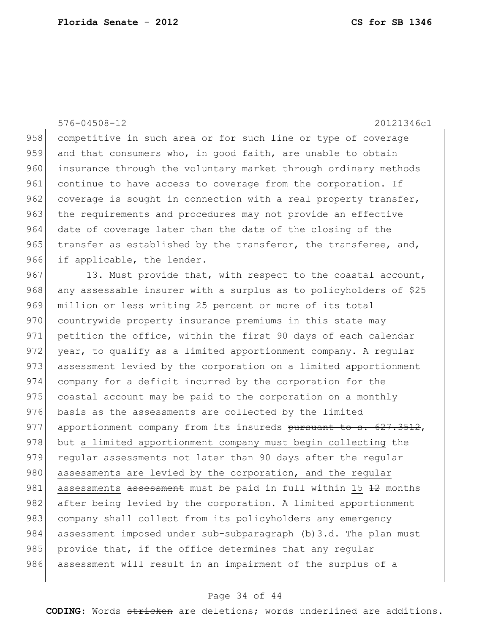576-04508-12 20121346c1 958 competitive in such area or for such line or type of coverage 959 and that consumers who, in good faith, are unable to obtain 960 insurance through the voluntary market through ordinary methods 961 continue to have access to coverage from the corporation. If 962 coverage is sought in connection with a real property transfer, 963 the requirements and procedures may not provide an effective 964 date of coverage later than the date of the closing of the 965  $\vert$  transfer as established by the transferor, the transferee, and, 966 if applicable, the lender. 967 13. Must provide that, with respect to the coastal account, 968 any assessable insurer with a surplus as to policyholders of \$25 969 million or less writing 25 percent or more of its total 970 countrywide property insurance premiums in this state may 971 petition the office, within the first 90 days of each calendar 972 year, to qualify as a limited apportionment company. A regular 973 assessment levied by the corporation on a limited apportionment 974 company for a deficit incurred by the corporation for the 975 coastal account may be paid to the corporation on a monthly 976 basis as the assessments are collected by the limited 977 apportionment company from its insureds pursuant to s. 627.3512, 978 but a limited apportionment company must begin collecting the 979 regular assessments not later than 90 days after the regular 980 assessments are levied by the corporation, and the regular 981 assessments assessment must be paid in full within 15 12 months 982 after being levied by the corporation. A limited apportionment 983 company shall collect from its policyholders any emergency 984 assessment imposed under sub-subparagraph (b)3.d. The plan must 985 provide that, if the office determines that any regular 986 assessment will result in an impairment of the surplus of a

## Page 34 of 44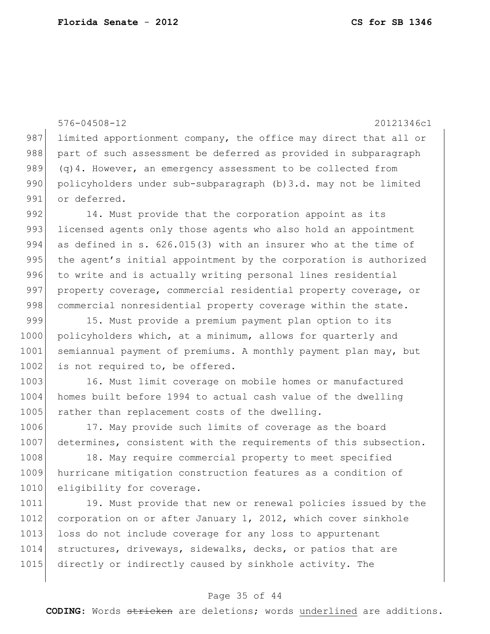576-04508-12 20121346c1 987 limited apportionment company, the office may direct that all or 988 part of such assessment be deferred as provided in subparagraph 989 (q)4. However, an emergency assessment to be collected from 990 policyholders under sub-subparagraph (b)3.d. may not be limited 991 or deferred.

992 14. Must provide that the corporation appoint as its 993 licensed agents only those agents who also hold an appointment 994 as defined in s. 626.015(3) with an insurer who at the time of 995 the agent's initial appointment by the corporation is authorized 996 to write and is actually writing personal lines residential 997 property coverage, commercial residential property coverage, or 998 commercial nonresidential property coverage within the state.

999 15. Must provide a premium payment plan option to its 1000 policyholders which, at a minimum, allows for quarterly and 1001 semiannual payment of premiums. A monthly payment plan may, but 1002 is not required to, be offered.

1003 16. Must limit coverage on mobile homes or manufactured 1004 homes built before 1994 to actual cash value of the dwelling 1005 rather than replacement costs of the dwelling.

1006 17. May provide such limits of coverage as the board 1007 determines, consistent with the requirements of this subsection.

1008 18. May require commercial property to meet specified 1009 hurricane mitigation construction features as a condition of 1010 eligibility for coverage.

1011 19. Must provide that new or renewal policies issued by the 1012 corporation on or after January 1, 2012, which cover sinkhole 1013 loss do not include coverage for any loss to appurtenant 1014 structures, driveways, sidewalks, decks, or patios that are 1015 directly or indirectly caused by sinkhole activity. The

#### Page 35 of 44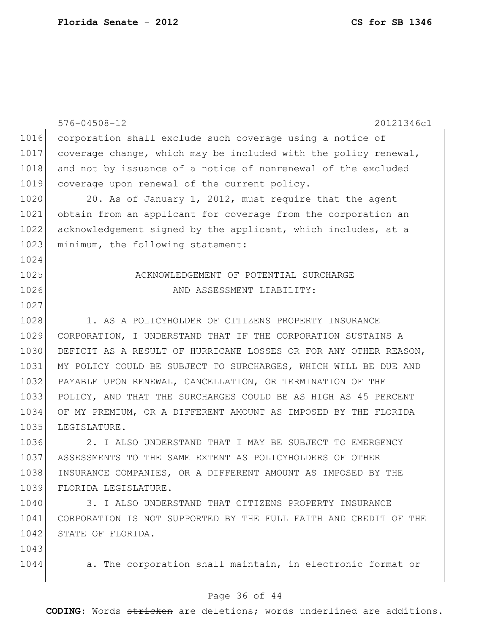|      | $576 - 04508 - 12$<br>20121346c1                                 |
|------|------------------------------------------------------------------|
| 1016 | corporation shall exclude such coverage using a notice of        |
| 1017 | coverage change, which may be included with the policy renewal,  |
| 1018 | and not by issuance of a notice of nonrenewal of the excluded    |
| 1019 | coverage upon renewal of the current policy.                     |
| 1020 | 20. As of January 1, 2012, must require that the agent           |
| 1021 | obtain from an applicant for coverage from the corporation an    |
| 1022 | acknowledgement signed by the applicant, which includes, at a    |
| 1023 | minimum, the following statement:                                |
| 1024 |                                                                  |
| 1025 | ACKNOWLEDGEMENT OF POTENTIAL SURCHARGE                           |
| 1026 | AND ASSESSMENT LIABILITY:                                        |
| 1027 |                                                                  |
| 1028 | 1. AS A POLICYHOLDER OF CITIZENS PROPERTY INSURANCE              |
| 1029 | CORPORATION, I UNDERSTAND THAT IF THE CORPORATION SUSTAINS A     |
| 1030 | DEFICIT AS A RESULT OF HURRICANE LOSSES OR FOR ANY OTHER REASON, |
| 1031 | MY POLICY COULD BE SUBJECT TO SURCHARGES, WHICH WILL BE DUE AND  |
| 1032 | PAYABLE UPON RENEWAL, CANCELLATION, OR TERMINATION OF THE        |
| 1033 | POLICY, AND THAT THE SURCHARGES COULD BE AS HIGH AS 45 PERCENT   |
| 1034 | OF MY PREMIUM, OR A DIFFERENT AMOUNT AS IMPOSED BY THE FLORIDA   |
| 1035 | LEGISLATURE.                                                     |
| 1036 | 2. I ALSO UNDERSTAND THAT I MAY BE SUBJECT TO EMERGENCY          |
| 1037 | ASSESSMENTS TO THE SAME EXTENT AS POLICYHOLDERS OF OTHER         |
| 1038 | INSURANCE COMPANIES, OR A DIFFERENT AMOUNT AS IMPOSED BY THE     |
| 1039 | FLORIDA LEGISLATURE.                                             |
| 1040 | 3. I ALSO UNDERSTAND THAT CITIZENS PROPERTY INSURANCE            |
| 1041 | CORPORATION IS NOT SUPPORTED BY THE FULL FAITH AND CREDIT OF THE |
| 1042 | STATE OF FLORIDA.                                                |
| 1043 |                                                                  |

1044 a. The corporation shall maintain, in electronic format or

# Page 36 of 44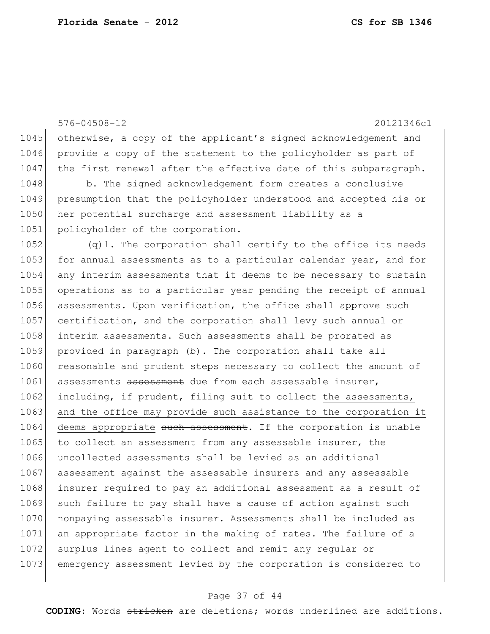576-04508-12 20121346c1 1045 otherwise, a copy of the applicant's signed acknowledgement and 1046 provide a copy of the statement to the policyholder as part of 1047 the first renewal after the effective date of this subparagraph. 1048 b. The signed acknowledgement form creates a conclusive 1049 presumption that the policyholder understood and accepted his or 1050 her potential surcharge and assessment liability as a 1051 policyholder of the corporation. 1052  $(q)$ 1. The corporation shall certify to the office its needs 1053 for annual assessments as to a particular calendar year, and for 1054 any interim assessments that it deems to be necessary to sustain 1055 operations as to a particular year pending the receipt of annual 1056 assessments. Upon verification, the office shall approve such 1057 certification, and the corporation shall levy such annual or 1058 interim assessments. Such assessments shall be prorated as 1059 provided in paragraph (b). The corporation shall take all 1060 reasonable and prudent steps necessary to collect the amount of 1061 assessments assessment due from each assessable insurer, 1062 including, if prudent, filing suit to collect the assessments, 1063 and the office may provide such assistance to the corporation it 1064 deems appropriate such assessment. If the corporation is unable 1065 to collect an assessment from any assessable insurer, the 1066 uncollected assessments shall be levied as an additional 1067 assessment against the assessable insurers and any assessable 1068 insurer required to pay an additional assessment as a result of 1069 such failure to pay shall have a cause of action against such 1070 nonpaying assessable insurer. Assessments shall be included as 1071 an appropriate factor in the making of rates. The failure of a 1072 surplus lines agent to collect and remit any regular or 1073 emergency assessment levied by the corporation is considered to

#### Page 37 of 44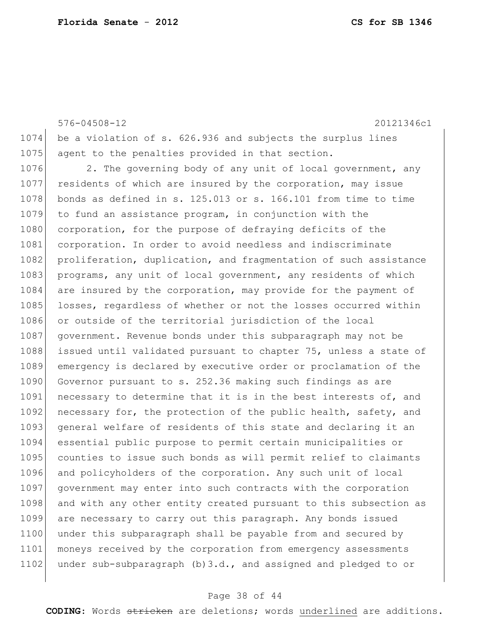576-04508-12 20121346c1 1074 be a violation of s. 626.936 and subjects the surplus lines 1075 agent to the penalties provided in that section. 1076 2. The governing body of any unit of local government, any 1077 residents of which are insured by the corporation, may issue 1078 bonds as defined in s. 125.013 or s. 166.101 from time to time 1079 to fund an assistance program, in conjunction with the 1080 corporation, for the purpose of defraying deficits of the 1081 corporation. In order to avoid needless and indiscriminate 1082 proliferation, duplication, and fragmentation of such assistance 1083 programs, any unit of local government, any residents of which 1084 are insured by the corporation, may provide for the payment of 1085 losses, regardless of whether or not the losses occurred within 1086 or outside of the territorial jurisdiction of the local 1087 government. Revenue bonds under this subparagraph may not be 1088 issued until validated pursuant to chapter 75, unless a state of 1089 emergency is declared by executive order or proclamation of the 1090 Governor pursuant to s. 252.36 making such findings as are 1091 necessary to determine that it is in the best interests of, and 1092 necessary for, the protection of the public health, safety, and 1093 general welfare of residents of this state and declaring it an 1094 essential public purpose to permit certain municipalities or 1095 counties to issue such bonds as will permit relief to claimants 1096 and policyholders of the corporation. Any such unit of local 1097 government may enter into such contracts with the corporation 1098 and with any other entity created pursuant to this subsection as 1099 are necessary to carry out this paragraph. Any bonds issued 1100 under this subparagraph shall be payable from and secured by 1101 moneys received by the corporation from emergency assessments 1102 under sub-subparagraph  $(b)$ 3.d., and assigned and pledged to or

#### Page 38 of 44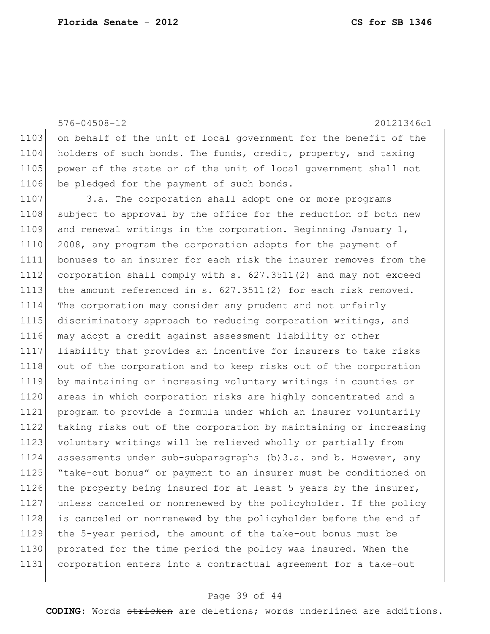|      | $576 - 04508 - 12$<br>20121346c1                                 |
|------|------------------------------------------------------------------|
| 1103 | on behalf of the unit of local government for the benefit of the |
| 1104 | holders of such bonds. The funds, credit, property, and taxing   |
| 1105 | power of the state or of the unit of local government shall not  |
| 1106 | be pledged for the payment of such bonds.                        |
| 1107 | 3.a. The corporation shall adopt one or more programs            |
| 1108 | subject to approval by the office for the reduction of both new  |
| 1109 | and renewal writings in the corporation. Beginning January $1$ , |
| 1110 | 2008, any program the corporation adopts for the payment of      |
| 1111 | bonuses to an insurer for each risk the insurer removes from the |
| 1112 | corporation shall comply with s. 627.3511(2) and may not exceed  |
| 1113 | the amount referenced in $s. 627.3511(2)$ for each risk removed. |
| 1114 | The corporation may consider any prudent and not unfairly        |
| 1115 | discriminatory approach to reducing corporation writings, and    |
| 1116 | may adopt a credit against assessment liability or other         |
| 1117 | liability that provides an incentive for insurers to take risks  |
| 1118 | out of the corporation and to keep risks out of the corporation  |
| 1119 | by maintaining or increasing voluntary writings in counties or   |
| 1120 | areas in which corporation risks are highly concentrated and a   |
| 1121 | program to provide a formula under which an insurer voluntarily  |
| 1122 | taking risks out of the corporation by maintaining or increasing |
| 1123 | voluntary writings will be relieved wholly or partially from     |
| 1124 | assessments under sub-subparagraphs (b) 3.a. and b. However, any |
| 1125 | "take-out bonus" or payment to an insurer must be conditioned on |
| 1126 | the property being insured for at least 5 years by the insurer,  |
| 1127 | unless canceled or nonrenewed by the policyholder. If the policy |
| 1128 | is canceled or nonrenewed by the policyholder before the end of  |
| 1129 | the 5-year period, the amount of the take-out bonus must be      |
| 1130 | prorated for the time period the policy was insured. When the    |
| 1131 | corporation enters into a contractual agreement for a take-out   |
|      |                                                                  |

# Page 39 of 44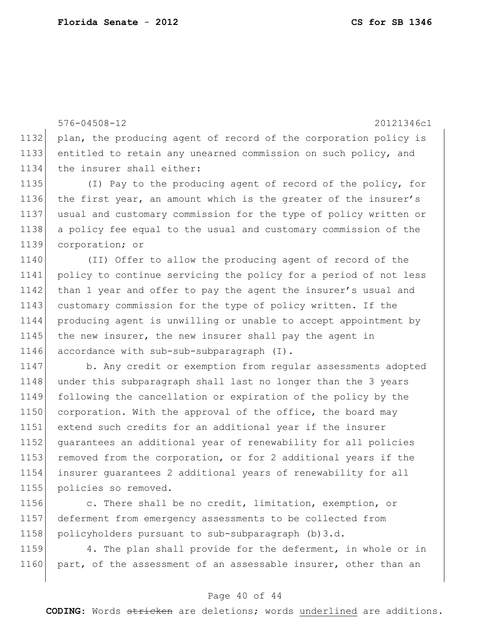576-04508-12 20121346c1 1132 plan, the producing agent of record of the corporation policy is 1133 entitled to retain any unearned commission on such policy, and 1134 the insurer shall either:

1135 (I) Pay to the producing agent of record of the policy, for the first year, an amount which is the greater of the insurer's usual and customary commission for the type of policy written or a policy fee equal to the usual and customary commission of the corporation; or

1140 (II) Offer to allow the producing agent of record of the 1141 policy to continue servicing the policy for a period of not less 1142 than 1 year and offer to pay the agent the insurer's usual and 1143 customary commission for the type of policy written. If the 1144 producing agent is unwilling or unable to accept appointment by 1145 the new insurer, the new insurer shall pay the agent in 1146 accordance with sub-sub-subparagraph (I).

1147 b. Any credit or exemption from regular assessments adopted 1148 under this subparagraph shall last no longer than the 3 years 1149 following the cancellation or expiration of the policy by the 1150 corporation. With the approval of the office, the board may 1151 extend such credits for an additional year if the insurer 1152 guarantees an additional year of renewability for all policies 1153 removed from the corporation, or for 2 additional years if the 1154 insurer guarantees 2 additional years of renewability for all 1155 policies so removed.

1156 c. There shall be no credit, limitation, exemption, or 1157 deferment from emergency assessments to be collected from 1158 policyholders pursuant to sub-subparagraph (b)3.d.

1159 4. The plan shall provide for the deferment, in whole or in 1160 part, of the assessment of an assessable insurer, other than an

## Page 40 of 44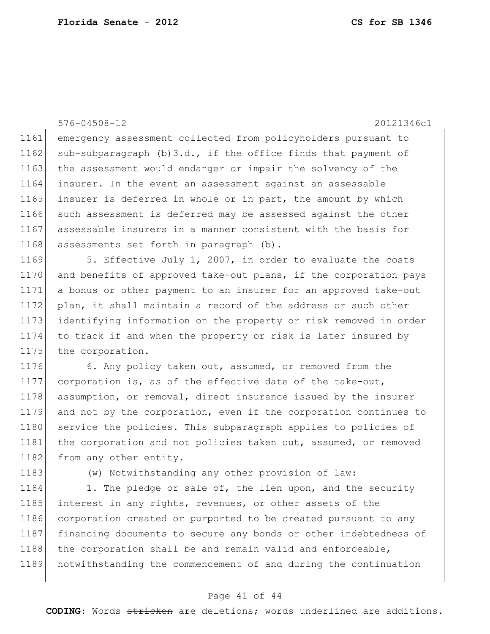576-04508-12 20121346c1 1161 emergency assessment collected from policyholders pursuant to 1162 sub-subparagraph  $(b)$  3.d., if the office finds that payment of 1163 the assessment would endanger or impair the solvency of the 1164 insurer. In the event an assessment against an assessable 1165 insurer is deferred in whole or in part, the amount by which 1166 such assessment is deferred may be assessed against the other 1167 assessable insurers in a manner consistent with the basis for 1168 assessments set forth in paragraph (b). 1169 5. Effective July 1, 2007, in order to evaluate the costs 1170 and benefits of approved take-out plans, if the corporation pays 1171 a bonus or other payment to an insurer for an approved take-out 1172 plan, it shall maintain a record of the address or such other 1173 identifying information on the property or risk removed in order 1174 to track if and when the property or risk is later insured by 1175 the corporation. 1176 6. Any policy taken out, assumed, or removed from the

1177 corporation is, as of the effective date of the take-out, 1178 assumption, or removal, direct insurance issued by the insurer 1179 and not by the corporation, even if the corporation continues to 1180 service the policies. This subparagraph applies to policies of 1181 the corporation and not policies taken out, assumed, or removed 1182 from any other entity.

1183 (w) Notwithstanding any other provision of law:

1184 1. The pledge or sale of, the lien upon, and the security 1185 interest in any rights, revenues, or other assets of the 1186 corporation created or purported to be created pursuant to any 1187 financing documents to secure any bonds or other indebtedness of 1188 the corporation shall be and remain valid and enforceable, 1189 notwithstanding the commencement of and during the continuation

## Page 41 of 44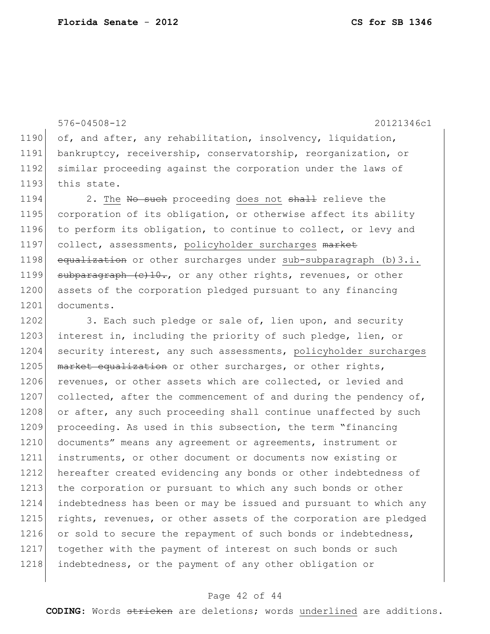576-04508-12 20121346c1 1190 of, and after, any rehabilitation, insolvency, liquidation, 1191 bankruptcy, receivership, conservatorship, reorganization, or 1192 similar proceeding against the corporation under the laws of 1193 this state. 1194 2. The No such proceeding does not shall relieve the 1195 corporation of its obligation, or otherwise affect its ability

1196 to perform its obligation, to continue to collect, or levy and 1197 collect, assessments, policyholder surcharges market 1198 equalization or other surcharges under sub-subparagraph (b)3.i. 1199 subparagraph  $(e)$ 10., or any other rights, revenues, or other 1200 assets of the corporation pledged pursuant to any financing 1201 documents.

1202 3. Each such pledge or sale of, lien upon, and security 1203 interest in, including the priority of such pledge, lien, or 1204 security interest, any such assessments, policyholder surcharges 1205 market equalization or other surcharges, or other rights, 1206 revenues, or other assets which are collected, or levied and 1207 collected, after the commencement of and during the pendency of, 1208 or after, any such proceeding shall continue unaffected by such 1209 proceeding. As used in this subsection, the term "financing 1210 documents" means any agreement or agreements, instrument or 1211 instruments, or other document or documents now existing or 1212 hereafter created evidencing any bonds or other indebtedness of 1213 the corporation or pursuant to which any such bonds or other 1214 indebtedness has been or may be issued and pursuant to which any 1215 rights, revenues, or other assets of the corporation are pledged 1216 or sold to secure the repayment of such bonds or indebtedness, 1217 together with the payment of interest on such bonds or such 1218 indebtedness, or the payment of any other obligation or

## Page 42 of 44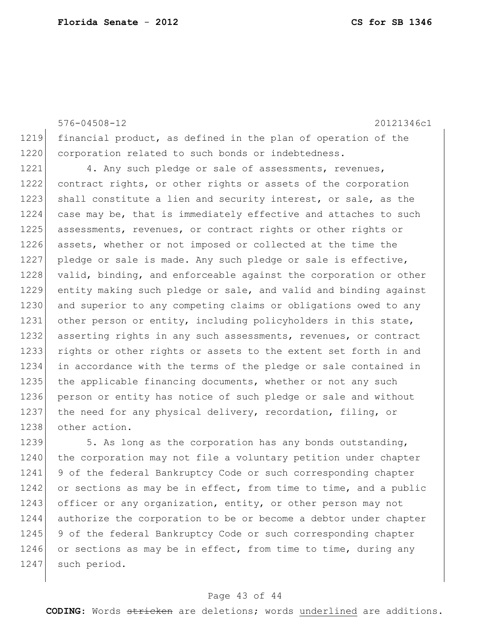576-04508-12 20121346c1 1219 financial product, as defined in the plan of operation of the 1220 corporation related to such bonds or indebtedness. 1221 4. Any such pledge or sale of assessments, revenues, 1222 contract rights, or other rights or assets of the corporation 1223 shall constitute a lien and security interest, or sale, as the 1224 case may be, that is immediately effective and attaches to such 1225 assessments, revenues, or contract rights or other rights or 1226 assets, whether or not imposed or collected at the time the 1227 pledge or sale is made. Any such pledge or sale is effective, 1228 valid, binding, and enforceable against the corporation or other 1229 entity making such pledge or sale, and valid and binding against 1230 and superior to any competing claims or obligations owed to any 1231 other person or entity, including policyholders in this state, 1232 asserting rights in any such assessments, revenues, or contract 1233 rights or other rights or assets to the extent set forth in and 1234 in accordance with the terms of the pledge or sale contained in 1235 the applicable financing documents, whether or not any such 1236 person or entity has notice of such pledge or sale and without 1237 the need for any physical delivery, recordation, filing, or 1238 other action. 1239 5. As long as the corporation has any bonds outstanding, 1240 the corporation may not file a voluntary petition under chapter

1241 9 of the federal Bankruptcy Code or such corresponding chapter 1242 or sections as may be in effect, from time to time, and a public 1243 officer or any organization, entity, or other person may not 1244 authorize the corporation to be or become a debtor under chapter 1245 9 of the federal Bankruptcy Code or such corresponding chapter 1246 or sections as may be in effect, from time to time, during any 1247 such period.

## Page 43 of 44